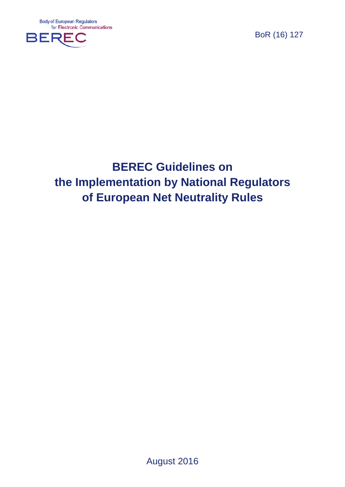**Body of European Regulators** for Electronic Communications



BoR (16) 127

# **BEREC Guidelines on the Implementation by National Regulators of European Net Neutrality Rules**

August 2016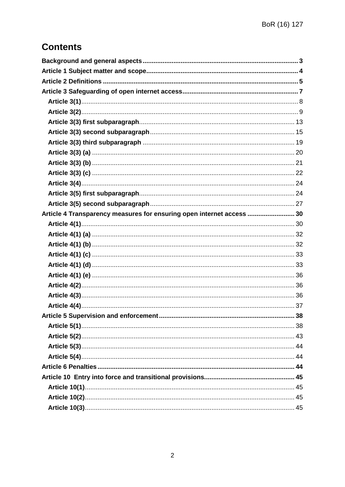## **Contents**

| Article 4 Transparency measures for ensuring open internet access  30 |  |
|-----------------------------------------------------------------------|--|
|                                                                       |  |
|                                                                       |  |
|                                                                       |  |
|                                                                       |  |
|                                                                       |  |
|                                                                       |  |
|                                                                       |  |
|                                                                       |  |
|                                                                       |  |
|                                                                       |  |
|                                                                       |  |
|                                                                       |  |
|                                                                       |  |
|                                                                       |  |
|                                                                       |  |
|                                                                       |  |
|                                                                       |  |
|                                                                       |  |
|                                                                       |  |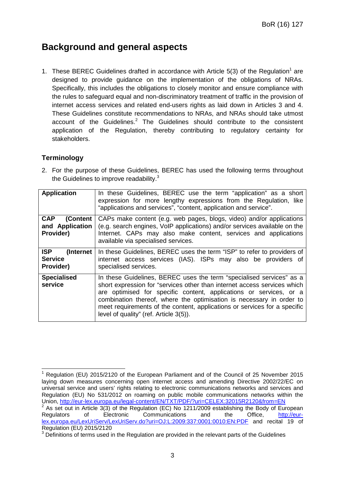## **Background and general aspects**

1. These BEREC Guidelines drafted in accordance with Article  $5(3)$  of the Regulation<sup>1</sup> are designed to provide guidance on the implementation of the obligations of NRAs. Specifically, this includes the obligations to closely monitor and ensure compliance with the rules to safeguard equal and non-discriminatory treatment of traffic in the provision of internet access services and related end-users rights as laid down in Articles 3 and 4. These Guidelines constitute recommendations to NRAs, and NRAs should take utmost account of the Guidelines. $2$  The Guidelines should contribute to the consistent application of the Regulation, thereby contributing to regulatory certainty for stakeholders.

## **Terminology**

2. For the purpose of these Guidelines, BEREC has used the following terms throughout the Guidelines to improve readability. $3$ 

| <b>Application</b>                                      | In these Guidelines, BEREC use the term "application" as a short<br>expression for more lengthy expressions from the Regulation, like<br>"applications and services", "content, application and service".                                                                                                                                                                                                             |
|---------------------------------------------------------|-----------------------------------------------------------------------------------------------------------------------------------------------------------------------------------------------------------------------------------------------------------------------------------------------------------------------------------------------------------------------------------------------------------------------|
| <b>CAP</b><br>(Content<br>and Application<br>Provider)  | CAPs make content (e.g. web pages, blogs, video) and/or applications<br>(e.g. search engines, VoIP applications) and/or services available on the<br>Internet. CAPs may also make content, services and applications<br>available via specialised services.                                                                                                                                                           |
| <b>ISP</b><br>(Internet)<br><b>Service</b><br>Provider) | In these Guidelines, BEREC uses the term "ISP" to refer to providers of<br>internet access services (IAS). ISPs may also be providers of<br>specialised services.                                                                                                                                                                                                                                                     |
| <b>Specialised</b><br>service                           | In these Guidelines, BEREC uses the term "specialised services" as a<br>short expression for "services other than internet access services which<br>are optimised for specific content, applications or services, or a<br>combination thereof, where the optimisation is necessary in order to<br>meet requirements of the content, applications or services for a specific<br>level of quality" (ref. Article 3(5)). |

<sup>1</sup> Regulation (EU) 2015/2120 of the European Parliament and of the Council of 25 November 2015 laying down measures concerning open internet access and amending Directive 2002/22/EC on universal service and users' rights relating to electronic communications networks and services and Regulation (EU) No 531/2012 on roaming on public mobile communications networks within the Union, <u>http://eur-lex.europa.eu/legal-content/EN/TXT/PDF/?uri=CELEX:32015R2120&from=EN</u><br><sup>2</sup> As set out in Article 3(3) of the Regulation (EC) No 1211/2009 establishing the Body of European Regulators of Electronic Communications and the Office, http://eurlex.europa.eu/LexUriServ/LexUriServ.do?uri=OJ:L:2009:337:0001:0010:EN:PDF and recital 19 of

Regulation (EU) 2015/2120

<sup>&</sup>lt;sup>3</sup> Definitions of terms used in the Regulation are provided in the relevant parts of the Guidelines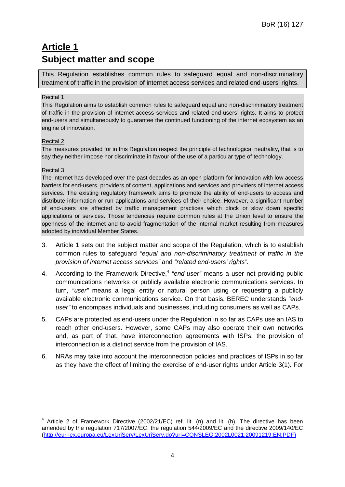## **Article 1 Subject matter and scope**

This Regulation establishes common rules to safeguard equal and non-discriminatory treatment of traffic in the provision of internet access services and related end-users' rights.

#### Recital 1

This Regulation aims to establish common rules to safeguard equal and non-discriminatory treatment of traffic in the provision of internet access services and related end-users' rights. It aims to protect end-users and simultaneously to guarantee the continued functioning of the internet ecosystem as an engine of innovation.

#### Recital 2

The measures provided for in this Regulation respect the principle of technological neutrality, that is to say they neither impose nor discriminate in favour of the use of a particular type of technology.

#### Recital 3

The internet has developed over the past decades as an open platform for innovation with low access barriers for end-users, providers of content, applications and services and providers of internet access services. The existing regulatory framework aims to promote the ability of end-users to access and distribute information or run applications and services of their choice. However, a significant number of end-users are affected by traffic management practices which block or slow down specific applications or services. Those tendencies require common rules at the Union level to ensure the openness of the internet and to avoid fragmentation of the internal market resulting from measures adopted by individual Member States.

- 3. Article 1 sets out the subject matter and scope of the Regulation, which is to establish common rules to safeguard *"equal and non-discriminatory treatment of traffic in the provision of internet access services"* and *"related end-users' rights"*.
- 4. According to the Framework Directive,<sup>4</sup> "end-user" means a user not providing public communications networks or publicly available electronic communications services. In turn, *"user"* means a legal entity or natural person using or requesting a publicly available electronic communications service. On that basis, BEREC understands *"enduser"* to encompass individuals and businesses, including consumers as well as CAPs.
- 5. CAPs are protected as end-users under the Regulation in so far as CAPs use an IAS to reach other end-users. However, some CAPs may also operate their own networks and, as part of that, have interconnection agreements with ISPs; the provision of interconnection is a distinct service from the provision of IAS.
- 6. NRAs may take into account the interconnection policies and practices of ISPs in so far as they have the effect of limiting the exercise of end-user rights under Article 3(1). For

 $4$  Article 2 of Framework Directive (2002/21/EC) ref. lit. (n) and lit. (h). The directive has been amended by the regulation 717/2007/EC, the regulation 544/2009/EC and the directive 2009/140/EC (http://eur-lex.europa.eu/LexUriServ/LexUriServ.do?uri=CONSLEG:2002L0021:20091219:EN:PDF)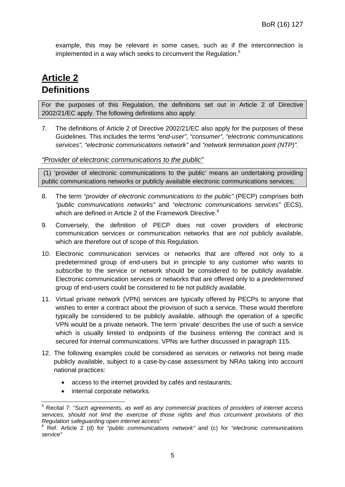example, this may be relevant in some cases, such as if the interconnection is implemented in a way which seeks to circumvent the Regulation.<sup>5</sup>

## **Article 2 Definitions**

For the purposes of this Regulation, the definitions set out in Article 2 of Directive 2002/21/EC apply. The following definitions also apply:

7. The definitions of Article 2 of Directive 2002/21/EC also apply for the purposes of these Guidelines. This includes the terms *"end-user"*, *"consumer"*, *"electronic communications services", "electronic communications network"* and *"network termination point (NTP)"*.

#### *"Provider of electronic communications to the public"*

(1) 'provider of electronic communications to the public' means an undertaking providing public communications networks or publicly available electronic communications services;

- 8. The term *"provider of electronic communications to the public"* (PECP) comprises both *"public communications networks"* and *"electronic communications services"* (ECS), which are defined in Article 2 of the Framework Directive.<sup>6</sup>
- 9. Conversely, the definition of PECP does not cover providers of electronic communication services or communication networks that are *not* publicly available, which are therefore out of scope of this Regulation.
- 10. Electronic communication services or networks that are offered not only to a predetermined group of end-users but in principle to any customer who wants to subscribe to the service or network should be considered to be publicly available. Electronic communication services or networks that are offered only to a *predetermined* group of end-users could be considered to be not publicly available.
- 11. Virtual private network (VPN) services are typically offered by PECPs to anyone that wishes to enter a contract about the provision of such a service. These would therefore typically be considered to be publicly available, although the operation of a specific VPN would be a private network. The term 'private' describes the use of such a service which is usually limited to endpoints of the business entering the contract and is secured for internal communications. VPNs are further discussed in paragraph 115.
- 12. The following examples could be considered as services or networks not being made publicly available, subject to a case-by-case assessment by NRAs taking into account national practices:
	- access to the internet provided by cafés and restaurants;
	- internal corporate networks.

<sup>5</sup> Recital 7: *"Such agreements, as well as any commercial practices of providers of internet access services, should not limit the exercise of those rights and thus circumvent provisions of this Regulation safeguarding open internet access"*

<sup>6</sup> Ref. Article 2 (d) for *"public communications network"* and (c) for *"electronic communications service"*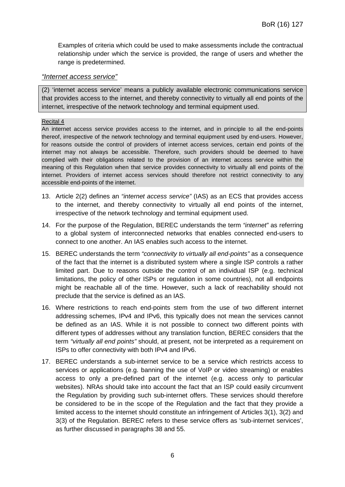Examples of criteria which could be used to make assessments include the contractual relationship under which the service is provided, the range of users and whether the range is predetermined.

#### *"Internet access service"*

(2) 'internet access service' means a publicly available electronic communications service that provides access to the internet, and thereby connectivity to virtually all end points of the internet, irrespective of the network technology and terminal equipment used.

#### Recital 4

An internet access service provides access to the internet, and in principle to all the end-points thereof, irrespective of the network technology and terminal equipment used by end-users. However, for reasons outside the control of providers of internet access services, certain end points of the internet may not always be accessible. Therefore, such providers should be deemed to have complied with their obligations related to the provision of an internet access service within the meaning of this Regulation when that service provides connectivity to virtually all end points of the internet. Providers of internet access services should therefore not restrict connectivity to any accessible end-points of the internet.

- 13. Article 2(2) defines an *"internet access service"* (IAS) as an ECS that provides access to the internet, and thereby connectivity to virtually all end points of the internet, irrespective of the network technology and terminal equipment used.
- 14. For the purpose of the Regulation, BEREC understands the term *"internet"* as referring to a global system of interconnected networks that enables connected end-users to connect to one another. An IAS enables such access to the internet.
- 15. BEREC understands the term *"connectivity to virtually all end-points"* as a consequence of the fact that the internet is a distributed system where a single ISP controls a rather limited part. Due to reasons outside the control of an individual ISP (e.g. technical limitations, the policy of other ISPs or regulation in some countries), not all endpoints might be reachable all of the time. However, such a lack of reachability should not preclude that the service is defined as an IAS.
- 16. Where restrictions to reach end-points stem from the use of two different internet addressing schemes, IPv4 and IPv6, this typically does not mean the services cannot be defined as an IAS. While it is not possible to connect two different points with different types of addresses without any translation function, BEREC considers that the term *"virtually all end points"* should, at present, not be interpreted as a requirement on ISPs to offer connectivity with both IPv4 and IPv6.
- 17. BEREC understands a sub-internet service to be a service which restricts access to services or applications (e.g. banning the use of VoIP or video streaming) or enables access to only a pre-defined part of the internet (e.g. access only to particular websites). NRAs should take into account the fact that an ISP could easily circumvent the Regulation by providing such sub-internet offers. These services should therefore be considered to be in the scope of the Regulation and the fact that they provide a limited access to the internet should constitute an infringement of Articles 3(1), 3(2) and 3(3) of the Regulation. BEREC refers to these service offers as 'sub-internet services', as further discussed in paragraphs 38 and 55.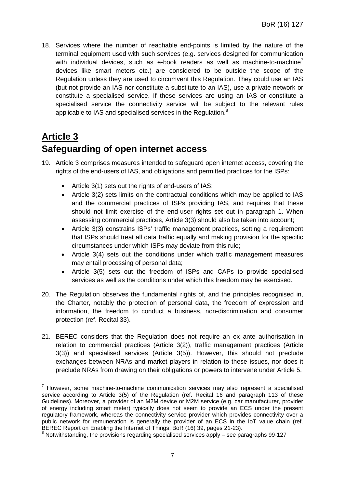18. Services where the number of reachable end-points is limited by the nature of the terminal equipment used with such services (e.g. services designed for communication with individual devices, such as e-book readers as well as machine-to-machine<sup>7</sup> devices like smart meters etc.) are considered to be outside the scope of the Regulation unless they are used to circumvent this Regulation. They could use an IAS (but not provide an IAS nor constitute a substitute to an IAS), use a private network or constitute a specialised service. If these services are using an IAS or constitute a specialised service the connectivity service will be subject to the relevant rules applicable to IAS and specialised services in the Regulation.<sup>8</sup>

## **Article 3 Safeguarding of open internet access**

- 19. Article 3 comprises measures intended to safeguard open internet access, covering the rights of the end-users of IAS, and obligations and permitted practices for the ISPs:
	- Article 3(1) sets out the rights of end-users of IAS;
	- Article 3(2) sets limits on the contractual conditions which may be applied to IAS and the commercial practices of ISPs providing IAS, and requires that these should not limit exercise of the end-user rights set out in paragraph 1. When assessing commercial practices, Article 3(3) should also be taken into account;
	- Article 3(3) constrains ISPs' traffic management practices, setting a requirement that ISPs should treat all data traffic equally and making provision for the specific circumstances under which ISPs may deviate from this rule;
	- Article 3(4) sets out the conditions under which traffic management measures may entail processing of personal data;
	- Article 3(5) sets out the freedom of ISPs and CAPs to provide specialised services as well as the conditions under which this freedom may be exercised.
- 20. The Regulation observes the fundamental rights of, and the principles recognised in, the Charter, notably the protection of personal data, the freedom of expression and information, the freedom to conduct a business, non-discrimination and consumer protection (ref. Recital 33).
- 21. BEREC considers that the Regulation does not require an ex ante authorisation in relation to commercial practices (Article 3(2)), traffic management practices (Article 3(3)) and specialised services (Article 3(5)). However, this should not preclude exchanges between NRAs and market players in relation to these issues, nor does it preclude NRAs from drawing on their obligations or powers to intervene under Article 5.

<sup>7</sup> However, some machine-to-machine communication services may also represent a specialised service according to Article 3(5) of the Regulation (ref. Recital 16 and paragraph 113 of these Guidelines). Moreover, a provider of an M2M device or M2M service (e.g. car manufacturer, provider of energy including smart meter) typically does not seem to provide an ECS under the present regulatory framework, whereas the connectivity service provider which provides connectivity over a public network for remuneration is generally the provider of an ECS in the IoT value chain (ref. BEREC Report on Enabling the Internet of Things, BoR (16) 39, pages 21-23).

 $8$  Notwithstanding, the provisions regarding specialised services apply – see paragraphs 99-127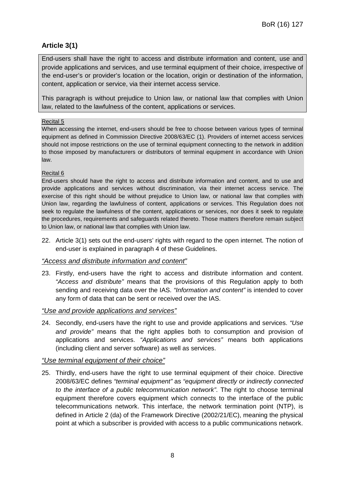## **Article 3(1)**

End-users shall have the right to access and distribute information and content, use and provide applications and services, and use terminal equipment of their choice, irrespective of the end-user's or provider's location or the location, origin or destination of the information, content, application or service, via their internet access service.

This paragraph is without prejudice to Union law, or national law that complies with Union law, related to the lawfulness of the content, applications or services.

#### Recital 5

When accessing the internet, end-users should be free to choose between various types of terminal equipment as defined in Commission Directive 2008/63/EC (1). Providers of internet access services should not impose restrictions on the use of terminal equipment connecting to the network in addition to those imposed by manufacturers or distributors of terminal equipment in accordance with Union law.

#### Recital 6

End-users should have the right to access and distribute information and content, and to use and provide applications and services without discrimination, via their internet access service. The exercise of this right should be without prejudice to Union law, or national law that complies with Union law, regarding the lawfulness of content, applications or services. This Regulation does not seek to regulate the lawfulness of the content, applications or services, nor does it seek to regulate the procedures, requirements and safeguards related thereto. Those matters therefore remain subject to Union law, or national law that complies with Union law.

22. Article 3(1) sets out the end-users' rights with regard to the open internet. The notion of end-user is explained in paragraph 4 of these Guidelines.

#### *"Access and distribute information and content"*

23. Firstly, end-users have the right to access and distribute information and content. *"Access and distribute"* means that the provisions of this Regulation apply to both sending and receiving data over the IAS. *"Information and content"* is intended to cover any form of data that can be sent or received over the IAS.

#### *"Use and provide applications and services"*

24. Secondly, end-users have the right to use and provide applications and services. *"Use and provide"* means that the right applies both to consumption and provision of applications and services. *"Applications and services"* means both applications (including client and server software) as well as services.

#### *"Use terminal equipment of their choice"*

25. Thirdly, end-users have the right to use terminal equipment of their choice. Directive 2008/63/EC defines *"terminal equipment"* as *"equipment directly or indirectly connected to the interface of a public telecommunication network"*. The right to choose terminal equipment therefore covers equipment which connects to the interface of the public telecommunications network. This interface, the network termination point (NTP), is defined in Article 2 (da) of the Framework Directive (2002/21/EC), meaning the physical point at which a subscriber is provided with access to a public communications network.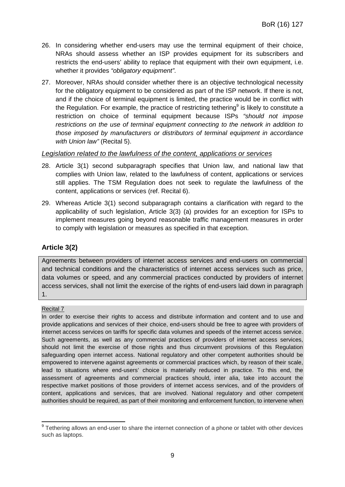- 26. In considering whether end-users may use the terminal equipment of their choice, NRAs should assess whether an ISP provides equipment for its subscribers and restricts the end-users' ability to replace that equipment with their own equipment, i.e. whether it provides *"obligatory equipment"*.
- 27. Moreover, NRAs should consider whether there is an objective technological necessity for the obligatory equipment to be considered as part of the ISP network. If there is not, and if the choice of terminal equipment is limited, the practice would be in conflict with the Regulation. For example, the practice of restricting tethering<sup>9</sup> is likely to constitute a restriction on choice of terminal equipment because ISPs *"should not impose restrictions on the use of terminal equipment connecting to the network in addition to those imposed by manufacturers or distributors of terminal equipment in accordance with Union law"* (Recital 5).

#### *Legislation related to the lawfulness of the content, applications or services*

- 28. Article 3(1) second subparagraph specifies that Union law, and national law that complies with Union law, related to the lawfulness of content, applications or services still applies. The TSM Regulation does not seek to regulate the lawfulness of the content, applications or services (ref. Recital 6).
- 29. Whereas Article 3(1) second subparagraph contains a clarification with regard to the applicability of such legislation, Article 3(3) (a) provides for an exception for ISPs to implement measures going beyond reasonable traffic management measures in order to comply with legislation or measures as specified in that exception.

## **Article 3(2)**

Agreements between providers of internet access services and end-users on commercial and technical conditions and the characteristics of internet access services such as price, data volumes or speed, and any commercial practices conducted by providers of internet access services, shall not limit the exercise of the rights of end-users laid down in paragraph 1.

#### Recital 7

In order to exercise their rights to access and distribute information and content and to use and provide applications and services of their choice, end-users should be free to agree with providers of internet access services on tariffs for specific data volumes and speeds of the internet access service. Such agreements, as well as any commercial practices of providers of internet access services, should not limit the exercise of those rights and thus circumvent provisions of this Regulation safeguarding open internet access. National regulatory and other competent authorities should be empowered to intervene against agreements or commercial practices which, by reason of their scale, lead to situations where end-users' choice is materially reduced in practice. To this end, the assessment of agreements and commercial practices should, inter alia, take into account the respective market positions of those providers of internet access services, and of the providers of content, applications and services, that are involved. National regulatory and other competent authorities should be required, as part of their monitoring and enforcement function, to intervene when

<sup>&</sup>lt;sup>9</sup> Tethering allows an end-user to share the internet connection of a phone or tablet with other devices such as laptops.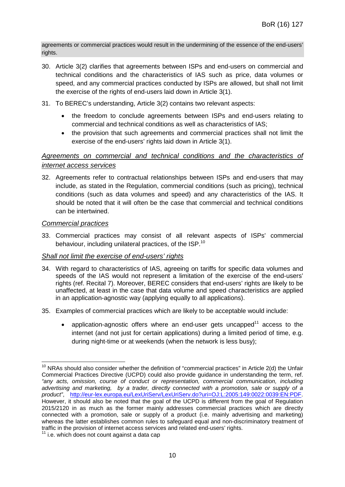agreements or commercial practices would result in the undermining of the essence of the end-users' rights.

- 30. Article 3(2) clarifies that agreements between ISPs and end-users on commercial and technical conditions and the characteristics of IAS such as price, data volumes or speed, and any commercial practices conducted by ISPs are allowed, but shall not limit the exercise of the rights of end-users laid down in Article 3(1).
- 31. To BEREC's understanding, Article 3(2) contains two relevant aspects:
	- the freedom to conclude agreements between ISPs and end-users relating to commercial and technical conditions as well as characteristics of IAS;
	- the provision that such agreements and commercial practices shall not limit the exercise of the end-users' rights laid down in Article 3(1).

## *Agreements on commercial and technical conditions and the characteristics of internet access services*

32. Agreements refer to contractual relationships between ISPs and end-users that may include, as stated in the Regulation, commercial conditions (such as pricing), technical conditions (such as data volumes and speed) and any characteristics of the IAS. It should be noted that it will often be the case that commercial and technical conditions can be intertwined.

#### *Commercial practices*

33. Commercial practices may consist of all relevant aspects of ISPs' commercial behaviour, including unilateral practices, of the ISP.<sup>10</sup>

#### *Shall not limit the exercise of end-users' rights*

- 34. With regard to characteristics of IAS, agreeing on tariffs for specific data volumes and speeds of the IAS would not represent a limitation of the exercise of the end-users' rights (ref. Recital 7). Moreover, BEREC considers that end-users' rights are likely to be unaffected, at least in the case that data volume and speed characteristics are applied in an application-agnostic way (applying equally to all applications).
- 35. Examples of commercial practices which are likely to be acceptable would include:
	- application-agnostic offers where an end-user gets uncapped<sup>11</sup> access to the internet (and not just for certain applications) during a limited period of time, e.g. during night-time or at weekends (when the network is less busy);

 $10$  NRAs should also consider whether the definition of "commercial practices" in Article 2(d) the Unfair Commercial Practices Directive (UCPD) could also provide guidance in understanding the term, ref. *"any acts, omission, course of conduct or representation, commercial communication, including advertising and marketing, by a trader, directly connected with a promotion, sale or supply of a product"*, http://eur-lex.europa.eu/LexUriServ/LexUriServ.do?uri=OJ:L:2005:149:0022:0039:EN:PDF. However, it should also be noted that the goal of the UCPD is different from the goal of Regulation 2015/2120 in as much as the former mainly addresses commercial practices which are directly connected with a promotion, sale or supply of a product (i.e. mainly advertising and marketing) whereas the latter establishes common rules to safeguard equal and non-discriminatory treatment of traffic in the provision of internet access services and related end-users' rights.

 $11$  i.e. which does not count against a data cap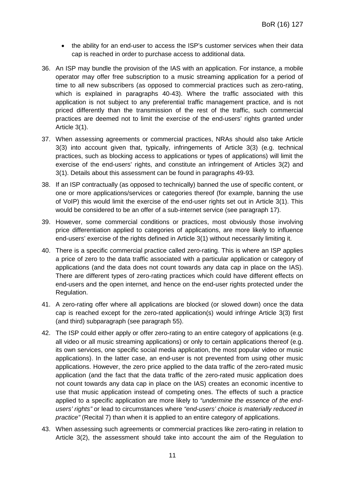- the ability for an end-user to access the ISP's customer services when their data cap is reached in order to purchase access to additional data.
- 36. An ISP may bundle the provision of the IAS with an application. For instance, a mobile operator may offer free subscription to a music streaming application for a period of time to all new subscribers (as opposed to commercial practices such as zero-rating, which is explained in paragraphs 40-43). Where the traffic associated with this application is not subject to any preferential traffic management practice, and is not priced differently than the transmission of the rest of the traffic, such commercial practices are deemed not to limit the exercise of the end-users' rights granted under Article 3(1).
- 37. When assessing agreements or commercial practices, NRAs should also take Article 3(3) into account given that, typically, infringements of Article 3(3) (e.g. technical practices, such as blocking access to applications or types of applications) will limit the exercise of the end-users' rights, and constitute an infringement of Articles 3(2) and 3(1). Details about this assessment can be found in paragraphs 49-93.
- 38. If an ISP contractually (as opposed to technically) banned the use of specific content, or one or more applications/services or categories thereof (for example, banning the use of VoIP) this would limit the exercise of the end-user rights set out in Article 3(1). This would be considered to be an offer of a sub-internet service (see paragraph 17).
- 39. However, some commercial conditions or practices, most obviously those involving price differentiation applied to categories of applications, are more likely to influence end-users' exercise of the rights defined in Article 3(1) without necessarily limiting it.
- 40. There is a specific commercial practice called zero-rating. This is where an ISP applies a price of zero to the data traffic associated with a particular application or category of applications (and the data does not count towards any data cap in place on the IAS). There are different types of zero-rating practices which could have different effects on end-users and the open internet, and hence on the end-user rights protected under the Regulation.
- 41. A zero-rating offer where all applications are blocked (or slowed down) once the data cap is reached except for the zero-rated application(s) would infringe Article 3(3) first (and third) subparagraph (see paragraph 55).
- 42. The ISP could either apply or offer zero-rating to an entire category of applications (e.g. all video or all music streaming applications) or only to certain applications thereof (e.g. its own services, one specific social media application, the most popular video or music applications). In the latter case, an end-user is not prevented from using other music applications. However, the zero price applied to the data traffic of the zero-rated music application (and the fact that the data traffic of the zero-rated music application does not count towards any data cap in place on the IAS) creates an economic incentive to use that music application instead of competing ones. The effects of such a practice applied to a specific application are more likely to *"undermine the essence of the endusers' rights"* or lead to circumstances where *"end-users' choice is materially reduced in practice"* (Recital 7) than when it is applied to an entire category of applications.
- 43. When assessing such agreements or commercial practices like zero-rating in relation to Article 3(2), the assessment should take into account the aim of the Regulation to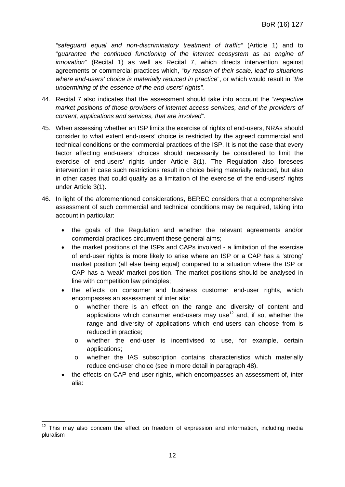*"safeguard equal and non-discriminatory treatment of traffic"* (Article 1) and to "*guarantee the continued functioning of the internet ecosystem as an engine of innovation*" (Recital 1) as well as Recital 7, which directs intervention against agreements or commercial practices which, "*by reason of their scale, lead to situations where end-users' choice is materially reduced in practice*", or which would result in *"the undermining of the essence of the end-users' rights".*

- 44. Recital 7 also indicates that the assessment should take into account the *"respective market positions of those providers of internet access services, and of the providers of content, applications and services, that are involved"*.
- 45. When assessing whether an ISP limits the exercise of rights of end-users, NRAs should consider to what extent end-users' choice is restricted by the agreed commercial and technical conditions or the commercial practices of the ISP. It is not the case that every factor affecting end-users' choices should necessarily be considered to limit the exercise of end-users' rights under Article 3(1). The Regulation also foresees intervention in case such restrictions result in choice being materially reduced, but also in other cases that could qualify as a limitation of the exercise of the end-users' rights under Article 3(1).
- 46. In light of the aforementioned considerations, BEREC considers that a comprehensive assessment of such commercial and technical conditions may be required, taking into account in particular:
	- the goals of the Regulation and whether the relevant agreements and/or commercial practices circumvent these general aims;
	- the market positions of the ISPs and CAPs involved a limitation of the exercise of end-user rights is more likely to arise where an ISP or a CAP has a 'strong' market position (all else being equal) compared to a situation where the ISP or CAP has a 'weak' market position. The market positions should be analysed in line with competition law principles;
	- the effects on consumer and business customer end-user rights, which encompasses an assessment of inter alia:
		- o whether there is an effect on the range and diversity of content and applications which consumer end-users may use<sup>12</sup> and, if so, whether the range and diversity of applications which end-users can choose from is reduced in practice;
		- o whether the end-user is incentivised to use, for example, certain applications;
		- o whether the IAS subscription contains characteristics which materially reduce end-user choice (see in more detail in paragraph 48).
	- the effects on CAP end-user rights, which encompasses an assessment of, inter alia:

 $12$  This may also concern the effect on freedom of expression and information, including media pluralism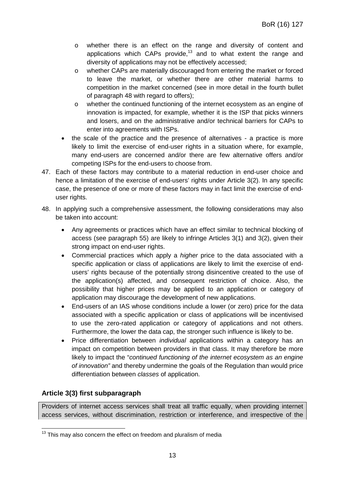- o whether there is an effect on the range and diversity of content and applications which CAPs provide, $13$  and to what extent the range and diversity of applications may not be effectively accessed;
- o whether CAPs are materially discouraged from entering the market or forced to leave the market, or whether there are other material harms to competition in the market concerned (see in more detail in the fourth bullet of paragraph 48 with regard to offers);
- o whether the continued functioning of the internet ecosystem as an engine of innovation is impacted, for example, whether it is the ISP that picks winners and losers, and on the administrative and/or technical barriers for CAPs to enter into agreements with ISPs.
- the scale of the practice and the presence of alternatives a practice is more likely to limit the exercise of end-user rights in a situation where, for example, many end-users are concerned and/or there are few alternative offers and/or competing ISPs for the end-users to choose from.
- 47. Each of these factors may contribute to a material reduction in end-user choice and hence a limitation of the exercise of end-users' rights under Article 3(2). In any specific case, the presence of one or more of these factors may in fact limit the exercise of enduser rights.
- 48. In applying such a comprehensive assessment, the following considerations may also be taken into account:
	- Any agreements or practices which have an effect similar to technical blocking of access (see paragraph 55) are likely to infringe Articles 3(1) and 3(2), given their strong impact on end-user rights.
	- Commercial practices which apply a *higher* price to the data associated with a specific application or class of applications are likely to limit the exercise of endusers' rights because of the potentially strong disincentive created to the use of the application(s) affected, and consequent restriction of choice. Also, the possibility that higher prices may be applied to an application or category of application may discourage the development of new applications.
	- End-users of an IAS whose conditions include a lower (or zero) price for the data associated with a specific application or class of applications will be incentivised to use the zero-rated application or category of applications and not others. Furthermore, the lower the data cap, the stronger such influence is likely to be.
	- Price differentiation between *individual* applications within a category has an impact on competition between providers in that class. It may therefore be more likely to impact the "*continued functioning of the internet ecosystem as an engine of innovation"* and thereby undermine the goals of the Regulation than would price differentiation between *classes* of application.

## **Article 3(3) first subparagraph**

Providers of internet access services shall treat all traffic equally, when providing internet access services, without discrimination, restriction or interference, and irrespective of the

 $13$  This may also concern the effect on freedom and pluralism of media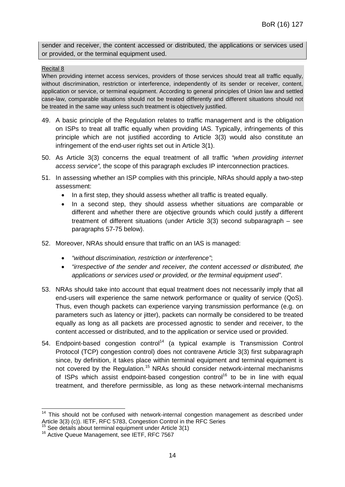sender and receiver, the content accessed or distributed, the applications or services used or provided, or the terminal equipment used.

#### Recital 8

When providing internet access services, providers of those services should treat all traffic equally, without discrimination, restriction or interference, independently of its sender or receiver, content, application or service, or terminal equipment. According to general principles of Union law and settled case-law, comparable situations should not be treated differently and different situations should not be treated in the same way unless such treatment is objectively justified.

- 49. A basic principle of the Regulation relates to traffic management and is the obligation on ISPs to treat all traffic equally when providing IAS. Typically, infringements of this principle which are not justified according to Article 3(3) would also constitute an infringement of the end-user rights set out in Article 3(1).
- 50. As Article 3(3) concerns the equal treatment of all traffic *"when providing internet access service",* the scope of this paragraph excludes IP interconnection practices.
- 51. In assessing whether an ISP complies with this principle, NRAs should apply a two-step assessment:
	- In a first step, they should assess whether all traffic is treated equally.
	- In a second step, they should assess whether situations are comparable or different and whether there are objective grounds which could justify a different treatment of different situations (under Article 3(3) second subparagraph – see paragraphs 57-75 below).
- 52. Moreover, NRAs should ensure that traffic on an IAS is managed:
	- *"without discrimination, restriction or interference"*;
	- *"irrespective of the sender and receiver, the content accessed or distributed, the applications or services used or provided, or the terminal equipment used"*.
- 53. NRAs should take into account that equal treatment does not necessarily imply that all end-users will experience the same network performance or quality of service (QoS). Thus, even though packets can experience varying transmission performance (e.g. on parameters such as latency or jitter), packets can normally be considered to be treated equally as long as all packets are processed agnostic to sender and receiver, to the content accessed or distributed, and to the application or service used or provided.
- 54. Endpoint-based congestion control<sup>14</sup> (a typical example is Transmission Control Protocol (TCP) congestion control) does not contravene Article 3(3) first subparagraph since, by definition, it takes place within terminal equipment and terminal equipment is not covered by the Regulation.<sup>15</sup> NRAs should consider network-internal mechanisms of ISPs which assist endpoint-based congestion control<sup>16</sup> to be in line with equal treatment, and therefore permissible, as long as these network-internal mechanisms

<sup>&</sup>lt;sup>14</sup> This should not be confused with network-internal congestion management as described under Article 3(3) (c)). IETF, RFC 5783, Congestion Control in the RFC Series

 $15$  See details about terminal equipment under Article 3(1)

<sup>&</sup>lt;sup>16</sup> Active Queue Management, see IETF, RFC 7567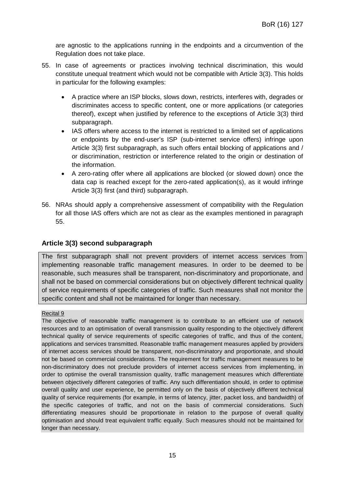are agnostic to the applications running in the endpoints and a circumvention of the Regulation does not take place.

- 55. In case of agreements or practices involving technical discrimination, this would constitute unequal treatment which would not be compatible with Article 3(3). This holds in particular for the following examples:
	- A practice where an ISP blocks, slows down, restricts, interferes with, degrades or discriminates access to specific content, one or more applications (or categories thereof), except when justified by reference to the exceptions of Article 3(3) third subparagraph.
	- IAS offers where access to the internet is restricted to a limited set of applications or endpoints by the end-user's ISP (sub-internet service offers) infringe upon Article 3(3) first subparagraph, as such offers entail blocking of applications and / or discrimination, restriction or interference related to the origin or destination of the information.
	- A zero-rating offer where all applications are blocked (or slowed down) once the data cap is reached except for the zero-rated application(s), as it would infringe Article 3(3) first (and third) subparagraph.
- 56. NRAs should apply a comprehensive assessment of compatibility with the Regulation for all those IAS offers which are not as clear as the examples mentioned in paragraph 55.

## **Article 3(3) second subparagraph**

The first subparagraph shall not prevent providers of internet access services from implementing reasonable traffic management measures. In order to be deemed to be reasonable, such measures shall be transparent, non-discriminatory and proportionate, and shall not be based on commercial considerations but on objectively different technical quality of service requirements of specific categories of traffic. Such measures shall not monitor the specific content and shall not be maintained for longer than necessary.

#### Recital 9

The objective of reasonable traffic management is to contribute to an efficient use of network resources and to an optimisation of overall transmission quality responding to the objectively different technical quality of service requirements of specific categories of traffic, and thus of the content, applications and services transmitted. Reasonable traffic management measures applied by providers of internet access services should be transparent, non-discriminatory and proportionate, and should not be based on commercial considerations. The requirement for traffic management measures to be non-discriminatory does not preclude providers of internet access services from implementing, in order to optimise the overall transmission quality, traffic management measures which differentiate between objectively different categories of traffic. Any such differentiation should, in order to optimise overall quality and user experience, be permitted only on the basis of objectively different technical quality of service requirements (for example, in terms of latency, jitter, packet loss, and bandwidth) of the specific categories of traffic, and not on the basis of commercial considerations. Such differentiating measures should be proportionate in relation to the purpose of overall quality optimisation and should treat equivalent traffic equally. Such measures should not be maintained for longer than necessary.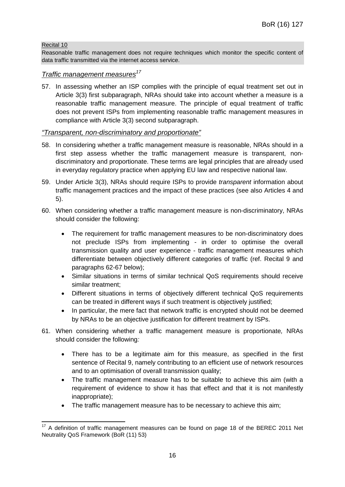#### Recital 10

Reasonable traffic management does not require techniques which monitor the specific content of data traffic transmitted via the internet access service.

#### *Traffic management measures<sup>17</sup>*

57. In assessing whether an ISP complies with the principle of equal treatment set out in Article 3(3) first subparagraph, NRAs should take into account whether a measure is a reasonable traffic management measure. The principle of equal treatment of traffic does not prevent ISPs from implementing reasonable traffic management measures in compliance with Article 3(3) second subparagraph.

#### *"Transparent, non-discriminatory and proportionate"*

- 58. In considering whether a traffic management measure is reasonable, NRAs should in a first step assess whether the traffic management measure is transparent, nondiscriminatory and proportionate. These terms are legal principles that are already used in everyday regulatory practice when applying EU law and respective national law.
- 59. Under Article 3(3), NRAs should require ISPs to provide *transparent* information about traffic management practices and the impact of these practices (see also Articles 4 and 5).
- 60. When considering whether a traffic management measure is non-discriminatory, NRAs should consider the following:
	- The requirement for traffic management measures to be non-discriminatory does not preclude ISPs from implementing - in order to optimise the overall transmission quality and user experience - traffic management measures which differentiate between objectively different categories of traffic (ref. Recital 9 and paragraphs 62-67 below);
	- Similar situations in terms of similar technical QoS requirements should receive similar treatment;
	- Different situations in terms of objectively different technical QoS requirements can be treated in different ways if such treatment is objectively justified;
	- In particular, the mere fact that network traffic is encrypted should not be deemed by NRAs to be an objective justification for different treatment by ISPs.
- 61. When considering whether a traffic management measure is proportionate*,* NRAs should consider the following*:*
	- There has to be a legitimate aim for this measure, as specified in the first sentence of Recital 9, namely contributing to an efficient use of network resources and to an optimisation of overall transmission quality;
	- The traffic management measure has to be suitable to achieve this aim (with a requirement of evidence to show it has that effect and that it is not manifestly inappropriate);
	- The traffic management measure has to be necessary to achieve this aim;

<sup>&</sup>lt;sup>17</sup> A definition of traffic management measures can be found on page 18 of the BEREC 2011 Net Neutrality QoS Framework (BoR (11) 53)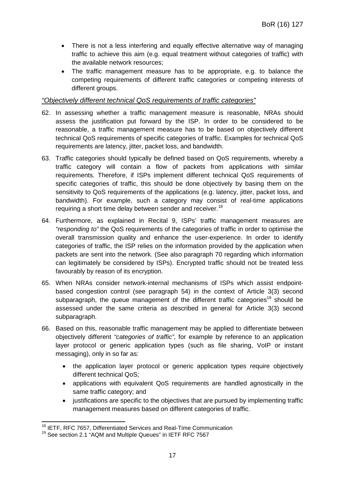- There is not a less interfering and equally effective alternative way of managing traffic to achieve this aim (e.g. equal treatment without categories of traffic) with the available network resources;
- The traffic management measure has to be appropriate, e.g. to balance the competing requirements of different traffic categories or competing interests of different groups.

#### *"Objectively different technical QoS requirements of traffic categories"*

- 62. In assessing whether a traffic management measure is reasonable, NRAs should assess the justification put forward by the ISP. In order to be considered to be reasonable, a traffic management measure has to be based on objectively different technical QoS requirements of specific categories of traffic. Examples for technical QoS requirements are latency, jitter, packet loss, and bandwidth.
- 63. Traffic categories should typically be defined based on QoS requirements, whereby a traffic category will contain a flow of packets from applications with similar requirements. Therefore, if ISPs implement different technical QoS requirements of specific categories of traffic, this should be done objectively by basing them on the sensitivity to QoS requirements of the applications (e.g. latency, jitter, packet loss, and bandwidth). For example, such a category may consist of real-time applications requiring a short time delay between sender and receiver.<sup>18</sup>
- 64. Furthermore, as explained in Recital 9, ISPs' traffic management measures are *"responding to"* the QoS requirements of the categories of traffic in order to optimise the overall transmission quality and enhance the user-experience. In order to identify categories of traffic, the ISP relies on the information provided by the application when packets are sent into the network. (See also paragraph 70 regarding which information can legitimately be considered by ISPs). Encrypted traffic should not be treated less favourably by reason of its encryption.
- 65. When NRAs consider network-internal mechanisms of ISPs which assist endpointbased congestion control (see paragraph 54) in the context of Article 3(3) second subparagraph, the queue management of the different traffic categories<sup>19</sup> should be assessed under the same criteria as described in general for Article 3(3) second subparagraph.
- 66. Based on this, reasonable traffic management may be applied to differentiate between objectively different *"categories of traffic"*, for example by reference to an application layer protocol or generic application types (such as file sharing, VoIP or instant messaging), only in so far as:
	- the application layer protocol or generic application types require objectively different technical QoS;
	- applications with equivalent QoS requirements are handled agnostically in the same traffic category; and
	- justifications are specific to the objectives that are pursued by implementing traffic management measures based on different categories of traffic.

<sup>&</sup>lt;sup>18</sup> IETF, RFC 7657, Differentiated Services and Real-Time Communication

<sup>&</sup>lt;sup>19</sup> See section 2.1 "AQM and Multiple Queues" in IETF RFC 7567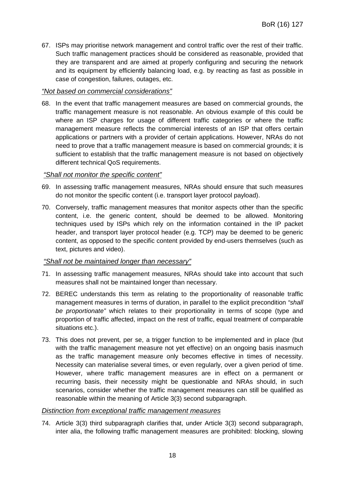67. ISPs may prioritise network management and control traffic over the rest of their traffic. Such traffic management practices should be considered as reasonable, provided that they are transparent and are aimed at properly configuring and securing the network and its equipment by efficiently balancing load, e.g. by reacting as fast as possible in case of congestion, failures, outages, etc.

#### *"Not based on commercial considerations"*

68. In the event that traffic management measures are based on commercial grounds, the traffic management measure is not reasonable. An obvious example of this could be where an ISP charges for usage of different traffic categories or where the traffic management measure reflects the commercial interests of an ISP that offers certain applications or partners with a provider of certain applications. However, NRAs do not need to prove that a traffic management measure is based on commercial grounds; it is sufficient to establish that the traffic management measure is not based on objectively different technical QoS requirements.

#### *"Shall not monitor the specific content"*

- 69. In assessing traffic management measures, NRAs should ensure that such measures do not monitor the specific content (i.e. transport layer protocol payload).
- 70. Conversely, traffic management measures that monitor aspects other than the specific content, i.e. the generic content, should be deemed to be allowed. Monitoring techniques used by ISPs which rely on the information contained in the IP packet header, and transport layer protocol header (e.g. TCP) may be deemed to be generic content, as opposed to the specific content provided by end-users themselves (such as text, pictures and video).

#### *"Shall not be maintained longer than necessary"*

- 71. In assessing traffic management measures, NRAs should take into account that such measures shall not be maintained longer than necessary.
- 72. BEREC understands this term as relating to the proportionality of reasonable traffic management measures in terms of duration, in parallel to the explicit precondition *"shall be proportionate"* which relates to their proportionality in terms of scope (type and proportion of traffic affected, impact on the rest of traffic, equal treatment of comparable situations etc.).
- 73. This does not prevent, per se, a trigger function to be implemented and in place (but with the traffic management measure not yet effective) on an ongoing basis inasmuch as the traffic management measure only becomes effective in times of necessity. Necessity can materialise several times, or even regularly, over a given period of time. However, where traffic management measures are in effect on a permanent or recurring basis, their necessity might be questionable and NRAs should, in such scenarios, consider whether the traffic management measures can still be qualified as reasonable within the meaning of Article 3(3) second subparagraph.

#### *Distinction from exceptional traffic management measures*

74. Article 3(3) third subparagraph clarifies that, under Article 3(3) second subparagraph, inter alia, the following traffic management measures are prohibited: blocking, slowing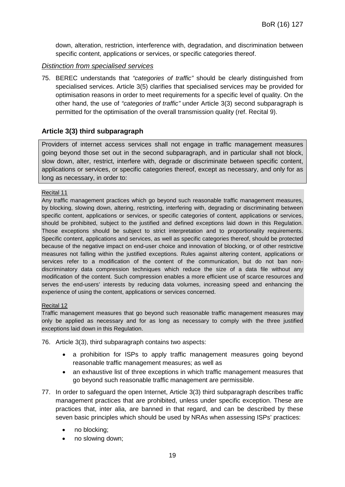down, alteration, restriction, interference with, degradation, and discrimination between specific content, applications or services, or specific categories thereof.

#### *Distinction from specialised services*

75. BEREC understands that *"categories of traffic"* should be clearly distinguished from specialised services. Article 3(5) clarifies that specialised services may be provided for optimisation reasons in order to meet requirements for a specific level of quality. On the other hand, the use of *"categories of traffic"* under Article 3(3) second subparagraph is permitted for the optimisation of the overall transmission quality (ref. Recital 9).

#### **Article 3(3) third subparagraph**

Providers of internet access services shall not engage in traffic management measures going beyond those set out in the second subparagraph, and in particular shall not block, slow down, alter, restrict, interfere with, degrade or discriminate between specific content, applications or services, or specific categories thereof, except as necessary, and only for as long as necessary, in order to:

#### Recital 11

Any traffic management practices which go beyond such reasonable traffic management measures, by blocking, slowing down, altering, restricting, interfering with, degrading or discriminating between specific content, applications or services, or specific categories of content, applications or services, should be prohibited, subject to the justified and defined exceptions laid down in this Regulation. Those exceptions should be subject to strict interpretation and to proportionality requirements. Specific content, applications and services, as well as specific categories thereof, should be protected because of the negative impact on end-user choice and innovation of blocking, or of other restrictive measures not falling within the justified exceptions. Rules against altering content, applications or services refer to a modification of the content of the communication, but do not ban nondiscriminatory data compression techniques which reduce the size of a data file without any modification of the content. Such compression enables a more efficient use of scarce resources and serves the end-users' interests by reducing data volumes, increasing speed and enhancing the experience of using the content, applications or services concerned.

#### Recital 12

Traffic management measures that go beyond such reasonable traffic management measures may only be applied as necessary and for as long as necessary to comply with the three justified exceptions laid down in this Regulation.

- 76. Article 3(3), third subparagraph contains two aspects:
	- a prohibition for ISPs to apply traffic management measures going beyond reasonable traffic management measures; as well as
	- an exhaustive list of three exceptions in which traffic management measures that go beyond such reasonable traffic management are permissible.
- 77. In order to safeguard the open Internet, Article 3(3) third subparagraph describes traffic management practices that are prohibited, unless under specific exception. These are practices that, inter alia, are banned in that regard, and can be described by these seven basic principles which should be used by NRAs when assessing ISPs' practices:
	- no blocking;
	- no slowing down;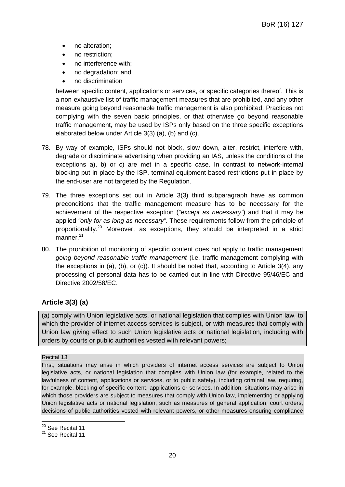- no alteration;
- no restriction;
- no interference with;
- no degradation; and
- no discrimination

between specific content, applications or services, or specific categories thereof. This is a non-exhaustive list of traffic management measures that are prohibited, and any other measure going beyond reasonable traffic management is also prohibited. Practices not complying with the seven basic principles, or that otherwise go beyond reasonable traffic management, may be used by ISPs only based on the three specific exceptions elaborated below under Article 3(3) (a), (b) and (c).

- 78. By way of example, ISPs should not block, slow down, alter, restrict, interfere with, degrade or discriminate advertising when providing an IAS, unless the conditions of the exceptions a), b) or c) are met in a specific case. In contrast to network-internal blocking put in place by the ISP, terminal equipment-based restrictions put in place by the end-user are not targeted by the Regulation.
- 79. The three exceptions set out in Article 3(3) third subparagraph have as common preconditions that the traffic management measure has to be necessary for the achievement of the respective exception (*"except as necessary"*) and that it may be applied *"only for as long as necessary"*. These requirements follow from the principle of proportionality.<sup>20</sup> Moreover, as exceptions, they should be interpreted in a strict manner.<sup>21</sup>
- 80. The prohibition of monitoring of specific content does not apply to traffic management *going beyond reasonable traffic management* (i.e. traffic management complying with the exceptions in (a), (b), or (c)). It should be noted that, according to Article 3(4), any processing of personal data has to be carried out in line with Directive 95/46/EC and Directive 2002/58/EC.

## **Article 3(3) (a)**

(a) comply with Union legislative acts, or national legislation that complies with Union law, to which the provider of internet access services is subject, or with measures that comply with Union law giving effect to such Union legislative acts or national legislation, including with orders by courts or public authorities vested with relevant powers;

#### Recital 13

First, situations may arise in which providers of internet access services are subject to Union legislative acts, or national legislation that complies with Union law (for example, related to the lawfulness of content, applications or services, or to public safety), including criminal law, requiring, for example, blocking of specific content, applications or services. In addition, situations may arise in which those providers are subject to measures that comply with Union law, implementing or applying Union legislative acts or national legislation, such as measures of general application, court orders, decisions of public authorities vested with relevant powers, or other measures ensuring compliance

<sup>&</sup>lt;sup>20</sup> See Recital 11

<sup>&</sup>lt;sup>21</sup> See Recital 11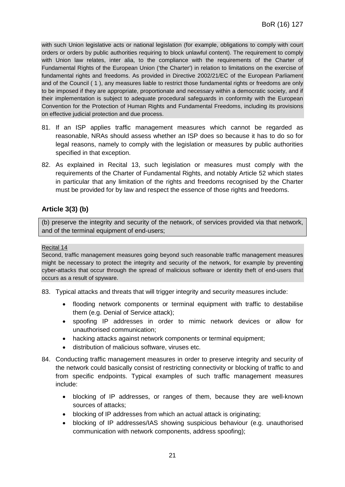with such Union legislative acts or national legislation (for example, obligations to comply with court orders or orders by public authorities requiring to block unlawful content). The requirement to comply with Union law relates, inter alia, to the compliance with the requirements of the Charter of Fundamental Rights of the European Union ('the Charter') in relation to limitations on the exercise of fundamental rights and freedoms. As provided in Directive 2002/21/EC of the European Parliament and of the Council ( 1 ), any measures liable to restrict those fundamental rights or freedoms are only to be imposed if they are appropriate, proportionate and necessary within a democratic society, and if their implementation is subject to adequate procedural safeguards in conformity with the European Convention for the Protection of Human Rights and Fundamental Freedoms, including its provisions on effective judicial protection and due process.

- 81. If an ISP applies traffic management measures which cannot be regarded as reasonable, NRAs should assess whether an ISP does so because it has to do so for legal reasons, namely to comply with the legislation or measures by public authorities specified in that exception.
- 82. As explained in Recital 13, such legislation or measures must comply with the requirements of the Charter of Fundamental Rights, and notably Article 52 which states in particular that any limitation of the rights and freedoms recognised by the Charter must be provided for by law and respect the essence of those rights and freedoms.

## **Article 3(3) (b)**

(b) preserve the integrity and security of the network, of services provided via that network, and of the terminal equipment of end-users;

#### Recital 14

Second, traffic management measures going beyond such reasonable traffic management measures might be necessary to protect the integrity and security of the network, for example by preventing cyber-attacks that occur through the spread of malicious software or identity theft of end-users that occurs as a result of spyware.

- 83. Typical attacks and threats that will trigger integrity and security measures include:
	- flooding network components or terminal equipment with traffic to destabilise them (e.g. Denial of Service attack);
	- spoofing IP addresses in order to mimic network devices or allow for unauthorised communication;
	- hacking attacks against network components or terminal equipment;
	- distribution of malicious software, viruses etc.
- 84. Conducting traffic management measures in order to preserve integrity and security of the network could basically consist of restricting connectivity or blocking of traffic to and from specific endpoints. Typical examples of such traffic management measures include:
	- blocking of IP addresses, or ranges of them, because they are well-known sources of attacks;
	- blocking of IP addresses from which an actual attack is originating;
	- blocking of IP addresses/IAS showing suspicious behaviour (e.g. unauthorised communication with network components, address spoofing);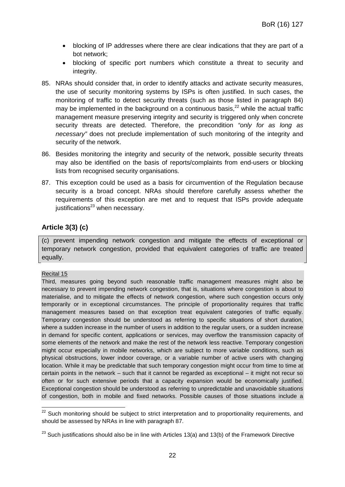- blocking of IP addresses where there are clear indications that they are part of a bot network;
- blocking of specific port numbers which constitute a threat to security and integrity.
- 85. NRAs should consider that, in order to identify attacks and activate security measures, the use of security monitoring systems by ISPs is often justified. In such cases, the monitoring of traffic to detect security threats (such as those listed in paragraph 84) may be implemented in the background on a continuous basis.<sup>22</sup> while the actual traffic management measure preserving integrity and security is triggered only when concrete security threats are detected. Therefore, the precondition *"only for as long as necessary"* does not preclude implementation of such monitoring of the integrity and security of the network.
- 86. Besides monitoring the integrity and security of the network, possible security threats may also be identified on the basis of reports/complaints from end-users or blocking lists from recognised security organisations.
- 87. This exception could be used as a basis for circumvention of the Regulation because security is a broad concept. NRAs should therefore carefully assess whether the requirements of this exception are met and to request that ISPs provide adequate justifications $^{23}$  when necessary.

## **Article 3(3) (c)**

(c) prevent impending network congestion and mitigate the effects of exceptional or temporary network congestion, provided that equivalent categories of traffic are treated equally.

#### Recital 15

Third, measures going beyond such reasonable traffic management measures might also be necessary to prevent impending network congestion, that is, situations where congestion is about to materialise, and to mitigate the effects of network congestion, where such congestion occurs only temporarily or in exceptional circumstances. The principle of proportionality requires that traffic management measures based on that exception treat equivalent categories of traffic equally. Temporary congestion should be understood as referring to specific situations of short duration, where a sudden increase in the number of users in addition to the regular users, or a sudden increase in demand for specific content, applications or services, may overflow the transmission capacity of some elements of the network and make the rest of the network less reactive. Temporary congestion might occur especially in mobile networks, which are subject to more variable conditions, such as physical obstructions, lower indoor coverage, or a variable number of active users with changing location. While it may be predictable that such temporary congestion might occur from time to time at certain points in the network – such that it cannot be regarded as exceptional – it might not recur so often or for such extensive periods that a capacity expansion would be economically justified. Exceptional congestion should be understood as referring to unpredictable and unavoidable situations of congestion, both in mobile and fixed networks. Possible causes of those situations include a

<sup>&</sup>lt;sup>22</sup> Such monitoring should be subject to strict interpretation and to proportionality requirements, and should be assessed by NRAs in line with paragraph 87.

 $23$  Such justifications should also be in line with Articles 13(a) and 13(b) of the Framework Directive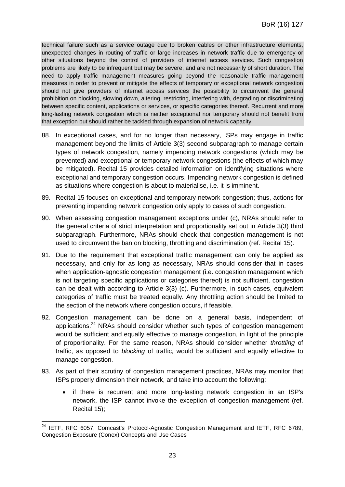technical failure such as a service outage due to broken cables or other infrastructure elements, unexpected changes in routing of traffic or large increases in network traffic due to emergency or other situations beyond the control of providers of internet access services. Such congestion problems are likely to be infrequent but may be severe, and are not necessarily of short duration. The need to apply traffic management measures going beyond the reasonable traffic management measures in order to prevent or mitigate the effects of temporary or exceptional network congestion should not give providers of internet access services the possibility to circumvent the general prohibition on blocking, slowing down, altering, restricting, interfering with, degrading or discriminating between specific content, applications or services, or specific categories thereof. Recurrent and more long-lasting network congestion which is neither exceptional nor temporary should not benefit from that exception but should rather be tackled through expansion of network capacity.

- 88. In exceptional cases, and for no longer than necessary, ISPs may engage in traffic management beyond the limits of Article 3(3) second subparagraph to manage certain types of network congestion, namely impending network congestions (which may be prevented) and exceptional or temporary network congestions (the effects of which may be mitigated). Recital 15 provides detailed information on identifying situations where exceptional and temporary congestion occurs. Impending network congestion is defined as situations where congestion is about to materialise, i.e. it is imminent.
- 89. Recital 15 focuses on exceptional and temporary network congestion; thus, actions for preventing impending network congestion only apply to cases of such congestion.
- 90. When assessing congestion management exceptions under (c), NRAs should refer to the general criteria of strict interpretation and proportionality set out in Article 3(3) third subparagraph. Furthermore, NRAs should check that congestion management is not used to circumvent the ban on blocking, throttling and discrimination (ref. Recital 15).
- 91. Due to the requirement that exceptional traffic management can only be applied as necessary, and only for as long as necessary, NRAs should consider that in cases when application-agnostic congestion management (i.e. congestion management which is not targeting specific applications or categories thereof) is not sufficient, congestion can be dealt with according to Article 3(3) (c). Furthermore, in such cases, equivalent categories of traffic must be treated equally. Any throttling action should be limited to the section of the network where congestion occurs, if feasible.
- 92. Congestion management can be done on a general basis, independent of applications.<sup>24</sup> NRAs should consider whether such types of congestion management would be sufficient and equally effective to manage congestion, in light of the principle of proportionality. For the same reason, NRAs should consider whether *throttling* of traffic, as opposed to *blocking* of traffic, would be sufficient and equally effective to manage congestion.
- 93. As part of their scrutiny of congestion management practices, NRAs may monitor that ISPs properly dimension their network, and take into account the following:
	- if there is recurrent and more long-lasting network congestion in an ISP's network, the ISP cannot invoke the exception of congestion management (ref. Recital 15);

<sup>&</sup>lt;sup>24</sup> IETF, RFC 6057, Comcast's Protocol-Agnostic Congestion Management and IETF, RFC 6789, Congestion Exposure (Conex) Concepts and Use Cases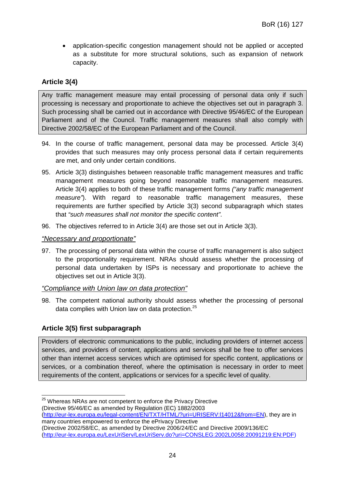• application-specific congestion management should not be applied or accepted as a substitute for more structural solutions, such as expansion of network capacity.

## **Article 3(4)**

Any traffic management measure may entail processing of personal data only if such processing is necessary and proportionate to achieve the objectives set out in paragraph 3. Such processing shall be carried out in accordance with Directive 95/46/EC of the European Parliament and of the Council. Traffic management measures shall also comply with Directive 2002/58/EC of the European Parliament and of the Council.

- 94. In the course of traffic management, personal data may be processed. Article 3(4) provides that such measures may only process personal data if certain requirements are met, and only under certain conditions.
- 95. Article 3(3) distinguishes between reasonable traffic management measures and traffic management measures going beyond reasonable traffic management measures. Article 3(4) applies to both of these traffic management forms *("any traffic management measure"*). With regard to reasonable traffic management measures, these requirements are further specified by Article 3(3) second subparagraph which states that *"such measures shall not monitor the specific content"*.
- 96. The objectives referred to in Article 3(4) are those set out in Article 3(3).

#### *"Necessary and proportionate"*

97. The processing of personal data within the course of traffic management is also subject to the proportionality requirement. NRAs should assess whether the processing of personal data undertaken by ISPs is necessary and proportionate to achieve the objectives set out in Article 3(3).

#### *"Compliance with Union law on data protection"*

98. The competent national authority should assess whether the processing of personal data complies with Union law on data protection.<sup>25</sup>

## **Article 3(5) first subparagraph**

Providers of electronic communications to the public, including providers of internet access services, and providers of content, applications and services shall be free to offer services other than internet access services which are optimised for specific content, applications or services, or a combination thereof, where the optimisation is necessary in order to meet requirements of the content, applications or services for a specific level of quality.

<sup>&</sup>lt;sup>25</sup> Whereas NRAs are not competent to enforce the Privacy Directive

<sup>(</sup>Directive 95/46/EC as amended by Regulation (EC) 1882/2003 (http://eur-lex.europa.eu/legal-content/EN/TXT/HTML/?uri=URISERV:l14012&from=EN), they are in

many countries empowered to enforce the ePrivacy Directive (Directive 2002/58/EC, as amended by Directive 2006/24/EC and Directive 2009/136/EC (http://eur-lex.europa.eu/LexUriServ/LexUriServ.do?uri=CONSLEG:2002L0058:20091219:EN:PDF)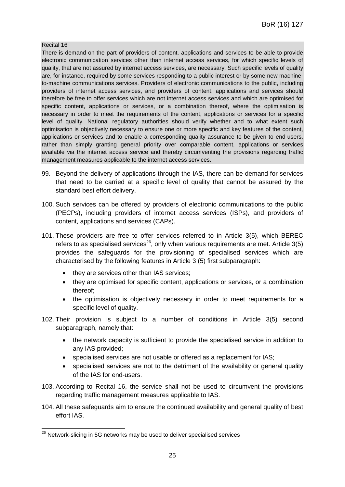#### Recital 16

There is demand on the part of providers of content, applications and services to be able to provide electronic communication services other than internet access services, for which specific levels of quality, that are not assured by internet access services, are necessary. Such specific levels of quality are, for instance, required by some services responding to a public interest or by some new machineto-machine communications services. Providers of electronic communications to the public, including providers of internet access services, and providers of content, applications and services should therefore be free to offer services which are not internet access services and which are optimised for specific content, applications or services, or a combination thereof, where the optimisation is necessary in order to meet the requirements of the content, applications or services for a specific level of quality. National regulatory authorities should verify whether and to what extent such optimisation is objectively necessary to ensure one or more specific and key features of the content, applications or services and to enable a corresponding quality assurance to be given to end-users, rather than simply granting general priority over comparable content, applications or services available via the internet access service and thereby circumventing the provisions regarding traffic management measures applicable to the internet access services.

- 99. Beyond the delivery of applications through the IAS, there can be demand for services that need to be carried at a specific level of quality that cannot be assured by the standard best effort delivery.
- 100. Such services can be offered by providers of electronic communications to the public (PECPs), including providers of internet access services (ISPs), and providers of content, applications and services (CAPs).
- 101. These providers are free to offer services referred to in Article 3(5), which BEREC refers to as specialised services<sup>26</sup>, only when various requirements are met. Article  $3(5)$ provides the safeguards for the provisioning of specialised services which are characterised by the following features in Article 3 (5) first subparagraph:
	- they are services other than IAS services;
	- they are optimised for specific content, applications or services, or a combination thereof;
	- the optimisation is objectively necessary in order to meet requirements for a specific level of quality.
- 102. Their provision is subject to a number of conditions in Article 3(5) second subparagraph, namely that:
	- the network capacity is sufficient to provide the specialised service in addition to any IAS provided;
	- specialised services are not usable or offered as a replacement for IAS;
	- specialised services are not to the detriment of the availability or general quality of the IAS for end-users.
- 103. According to Recital 16, the service shall not be used to circumvent the provisions regarding traffic management measures applicable to IAS.
- 104. All these safeguards aim to ensure the continued availability and general quality of best effort IAS.

<sup>&</sup>lt;sup>26</sup> Network-slicing in 5G networks may be used to deliver specialised services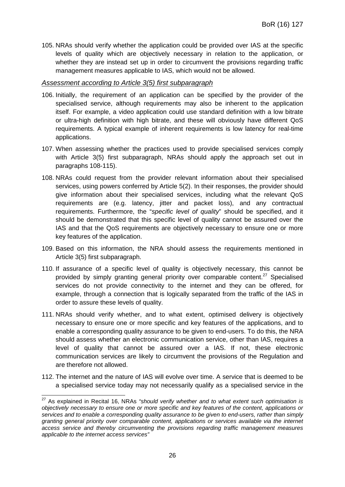105. NRAs should verify whether the application could be provided over IAS at the specific levels of quality which are objectively necessary in relation to the application, or whether they are instead set up in order to circumvent the provisions regarding traffic management measures applicable to IAS, which would not be allowed.

#### *Assessment according to Article 3(5) first subparagraph*

- 106. Initially, the requirement of an application can be specified by the provider of the specialised service, although requirements may also be inherent to the application itself. For example, a video application could use standard definition with a low bitrate or ultra-high definition with high bitrate, and these will obviously have different QoS requirements. A typical example of inherent requirements is low latency for real-time applications.
- 107. When assessing whether the practices used to provide specialised services comply with Article 3(5) first subparagraph, NRAs should apply the approach set out in paragraphs 108-115).
- 108. NRAs could request from the provider relevant information about their specialised services, using powers conferred by Article 5(2). In their responses, the provider should give information about their specialised services, including what the relevant QoS requirements are (e.g. latency, jitter and packet loss), and any contractual requirements. Furthermore, the "*specific level of quality*" should be specified, and it should be demonstrated that this specific level of quality cannot be assured over the IAS and that the QoS requirements are objectively necessary to ensure one or more key features of the application.
- 109. Based on this information, the NRA should assess the requirements mentioned in Article 3(5) first subparagraph.
- 110. If assurance of a specific level of quality is objectively necessary, this cannot be provided by simply granting general priority over comparable content.<sup>27</sup> Specialised services do not provide connectivity to the internet and they can be offered, for example, through a connection that is logically separated from the traffic of the IAS in order to assure these levels of quality.
- 111. NRAs should verify whether, and to what extent, optimised delivery is objectively necessary to ensure one or more specific and key features of the applications, and to enable a corresponding quality assurance to be given to end-users. To do this, the NRA should assess whether an electronic communication service, other than IAS, requires a level of quality that cannot be assured over a IAS. If not, these electronic communication services are likely to circumvent the provisions of the Regulation and are therefore not allowed.
- 112. The internet and the nature of IAS will evolve over time. A service that is deemed to be a specialised service today may not necessarily qualify as a specialised service in the

<sup>27</sup> As explained in Recital 16, NRAs *"should verify whether and to what extent such optimisation is objectively necessary to ensure one or more specific and key features of the content, applications or services and to enable a corresponding quality assurance to be given to end-users, rather than simply granting general priority over comparable content, applications or services available via the internet access service and thereby circumventing the provisions regarding traffic management measures applicable to the internet access services"*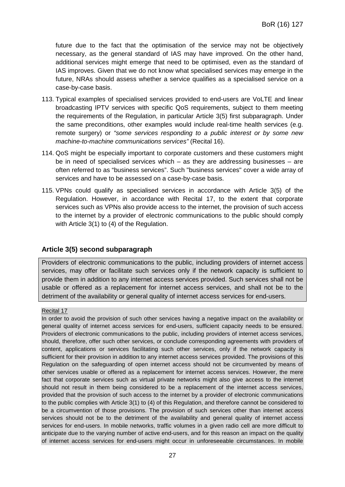future due to the fact that the optimisation of the service may not be objectively necessary, as the general standard of IAS may have improved. On the other hand, additional services might emerge that need to be optimised, even as the standard of IAS improves. Given that we do not know what specialised services may emerge in the future, NRAs should assess whether a service qualifies as a specialised service on a case-by-case basis.

- 113. Typical examples of specialised services provided to end-users are VoLTE and linear broadcasting IPTV services with specific QoS requirements, subject to them meeting the requirements of the Regulation, in particular Article 3(5) first subparagraph. Under the same preconditions, other examples would include real-time health services (e.g. remote surgery) or *"some services responding to a public interest or by some new machine-to-machine communications services"* (Recital 16).
- 114. QoS might be especially important to corporate customers and these customers might be in need of specialised services which – as they are addressing businesses – are often referred to as "business services". Such "business services" cover a wide array of services and have to be assessed on a case-by-case basis.
- 115. VPNs could qualify as specialised services in accordance with Article 3(5) of the Regulation. However, in accordance with Recital 17, to the extent that corporate services such as VPNs also provide access to the internet, the provision of such access to the internet by a provider of electronic communications to the public should comply with Article 3(1) to (4) of the Regulation.

#### **Article 3(5) second subparagraph**

Providers of electronic communications to the public, including providers of internet access services, may offer or facilitate such services only if the network capacity is sufficient to provide them in addition to any internet access services provided. Such services shall not be usable or offered as a replacement for internet access services, and shall not be to the detriment of the availability or general quality of internet access services for end-users.

#### Recital 17

In order to avoid the provision of such other services having a negative impact on the availability or general quality of internet access services for end-users, sufficient capacity needs to be ensured. Providers of electronic communications to the public, including providers of internet access services, should, therefore, offer such other services, or conclude corresponding agreements with providers of content, applications or services facilitating such other services, only if the network capacity is sufficient for their provision in addition to any internet access services provided. The provisions of this Regulation on the safeguarding of open internet access should not be circumvented by means of other services usable or offered as a replacement for internet access services. However, the mere fact that corporate services such as virtual private networks might also give access to the internet should not result in them being considered to be a replacement of the internet access services, provided that the provision of such access to the internet by a provider of electronic communications to the public complies with Article 3(1) to (4) of this Regulation, and therefore cannot be considered to be a circumvention of those provisions. The provision of such services other than internet access services should not be to the detriment of the availability and general quality of internet access services for end-users. In mobile networks, traffic volumes in a given radio cell are more difficult to anticipate due to the varying number of active end-users, and for this reason an impact on the quality of internet access services for end-users might occur in unforeseeable circumstances. In mobile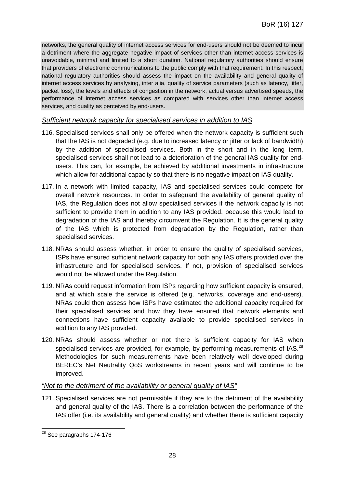networks, the general quality of internet access services for end-users should not be deemed to incur a detriment where the aggregate negative impact of services other than internet access services is unavoidable, minimal and limited to a short duration. National regulatory authorities should ensure that providers of electronic communications to the public comply with that requirement. In this respect, national regulatory authorities should assess the impact on the availability and general quality of internet access services by analysing, inter alia, quality of service parameters (such as latency, jitter, packet loss), the levels and effects of congestion in the network, actual versus advertised speeds, the performance of internet access services as compared with services other than internet access services, and quality as perceived by end-users.

#### *Sufficient network capacity for specialised services in addition to IAS*

- 116. Specialised services shall only be offered when the network capacity is sufficient such that the IAS is not degraded (e.g. due to increased latency or jitter or lack of bandwidth) by the addition of specialised services. Both in the short and in the long term, specialised services shall not lead to a deterioration of the general IAS quality for endusers. This can, for example, be achieved by additional investments in infrastructure which allow for additional capacity so that there is no negative impact on IAS quality.
- 117. In a network with limited capacity, IAS and specialised services could compete for overall network resources. In order to safeguard the availability of general quality of IAS, the Regulation does not allow specialised services if the network capacity is not sufficient to provide them in addition to any IAS provided, because this would lead to degradation of the IAS and thereby circumvent the Regulation. It is the general quality of the IAS which is protected from degradation by the Regulation, rather than specialised services.
- 118. NRAs should assess whether, in order to ensure the quality of specialised services, ISPs have ensured sufficient network capacity for both any IAS offers provided over the infrastructure and for specialised services. If not, provision of specialised services would not be allowed under the Regulation.
- 119. NRAs could request information from ISPs regarding how sufficient capacity is ensured, and at which scale the service is offered (e.g. networks, coverage and end-users). NRAs could then assess how ISPs have estimated the additional capacity required for their specialised services and how they have ensured that network elements and connections have sufficient capacity available to provide specialised services in addition to any IAS provided.
- 120. NRAs should assess whether or not there is sufficient capacity for IAS when specialised services are provided, for example, by performing measurements of IAS.<sup>28</sup> Methodologies for such measurements have been relatively well developed during BEREC's Net Neutrality QoS workstreams in recent years and will continue to be improved.

#### *"Not to the detriment of the availability or general quality of IAS"*

121. Specialised services are not permissible if they are to the detriment of the availability and general quality of the IAS. There is a correlation between the performance of the IAS offer (i.e. its availability and general quality) and whether there is sufficient capacity

 $28$  See paragraphs 174-176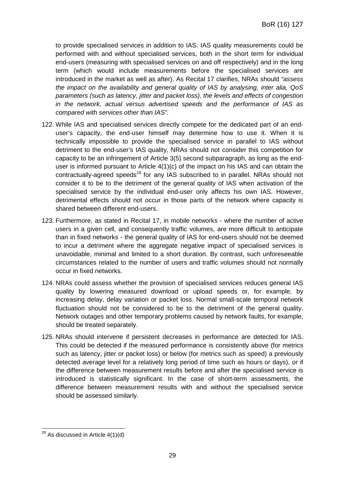to provide specialised services in addition to IAS. IAS quality measurements could be performed with and without specialised services, both in the short term for individual end-users (measuring with specialised services on and off respectively) and in the long term (which would include measurements before the specialised services are introduced in the market as well as after). As Recital 17 clarifies, NRAs should *"assess the impact on the availability and general quality of IAS by analysing, inter alia, QoS parameters (such as latency, jitter and packet loss), the levels and effects of congestion in the network, actual versus advertised speeds and the performance of IAS as compared with services other than IAS"*.

- 122. While IAS and specialised services directly compete for the dedicated part of an enduser's capacity, the end-user himself may determine how to use it. When it is technically impossible to provide the specialised service in parallel to IAS without detriment to the end-user's IAS quality, NRAs should not consider this competition for capacity to be an infringement of Article 3(5) second subparagraph, as long as the enduser is informed pursuant to Article 4(1)(c) of the impact on his IAS and can obtain the contractually-agreed speeds<sup>29</sup> for any IAS subscribed to in parallel. NRAs should not consider it to be to the detriment of the general quality of IAS when activation of the specialised service by the individual end-user only affects his own IAS. However, detrimental effects should not occur in those parts of the network where capacity is shared between different end-users.
- 123. Furthermore, as stated in Recital 17, in mobile networks where the number of active users in a given cell, and consequently traffic volumes, are more difficult to anticipate than in fixed networks - the general quality of IAS for end-users should not be deemed to incur a detriment where the aggregate negative impact of specialised services is unavoidable, minimal and limited to a short duration. By contrast, such unforeseeable circumstances related to the number of users and traffic volumes should not normally occur in fixed networks.
- 124. NRAs could assess whether the provision of specialised services reduces general IAS quality by lowering measured download or upload speeds or, for example, by increasing delay, delay variation or packet loss. Normal small-scale temporal network fluctuation should not be considered to be to the detriment of the general quality. Network outages and other temporary problems caused by network faults, for example, should be treated separately.
- 125. NRAs should intervene if persistent decreases in performance are detected for IAS. This could be detected if the measured performance is consistently above (for metrics such as latency, jitter or packet loss) or below (for metrics such as speed) a previously detected average level for a relatively long period of time such as hours or days), or if the difference between measurement results before and after the specialised service is introduced is statistically significant. In the case of short-term assessments, the difference between measurement results with and without the specialised service should be assessed similarly.

 $29$  As discussed in Article 4(1)(d)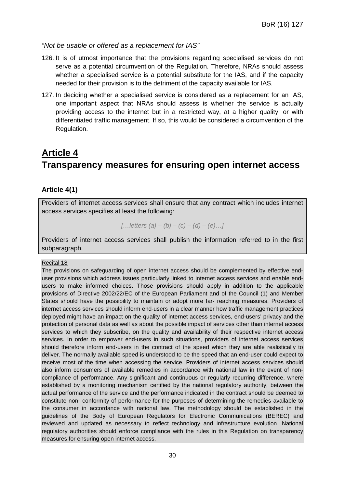#### *"Not be usable or offered as a replacement for IAS"*

- 126. It is of utmost importance that the provisions regarding specialised services do not serve as a potential circumvention of the Regulation. Therefore, NRAs should assess whether a specialised service is a potential substitute for the IAS, and if the capacity needed for their provision is to the detriment of the capacity available for IAS.
- 127. In deciding whether a specialised service is considered as a replacement for an IAS, one important aspect that NRAs should assess is whether the service is actually providing access to the internet but in a restricted way, at a higher quality, or with differentiated traffic management. If so, this would be considered a circumvention of the Regulation.

## **Article 4 Transparency measures for ensuring open internet access**

## **Article 4(1)**

Providers of internet access services shall ensure that any contract which includes internet access services specifies at least the following:

*[…letters (a) – (b) – (c) – (d) – (e)…]*

Providers of internet access services shall publish the information referred to in the first subparagraph.

#### Recital 18

The provisions on safeguarding of open internet access should be complemented by effective enduser provisions which address issues particularly linked to internet access services and enable endusers to make informed choices. Those provisions should apply in addition to the applicable provisions of Directive 2002/22/EC of the European Parliament and of the Council (1) and Member States should have the possibility to maintain or adopt more far- reaching measures. Providers of internet access services should inform end-users in a clear manner how traffic management practices deployed might have an impact on the quality of internet access services, end-users' privacy and the protection of personal data as well as about the possible impact of services other than internet access services to which they subscribe, on the quality and availability of their respective internet access services. In order to empower end-users in such situations, providers of internet access services should therefore inform end-users in the contract of the speed which they are able realistically to deliver. The normally available speed is understood to be the speed that an end-user could expect to receive most of the time when accessing the service. Providers of internet access services should also inform consumers of available remedies in accordance with national law in the event of noncompliance of performance. Any significant and continuous or regularly recurring difference, where established by a monitoring mechanism certified by the national regulatory authority, between the actual performance of the service and the performance indicated in the contract should be deemed to constitute non- conformity of performance for the purposes of determining the remedies available to the consumer in accordance with national law. The methodology should be established in the guidelines of the Body of European Regulators for Electronic Communications (BEREC) and reviewed and updated as necessary to reflect technology and infrastructure evolution. National regulatory authorities should enforce compliance with the rules in this Regulation on transparency measures for ensuring open internet access.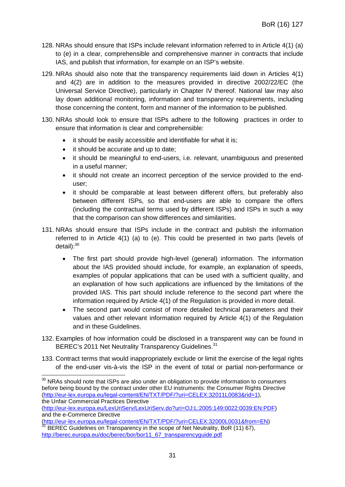- 128. NRAs should ensure that ISPs include relevant information referred to in Article 4(1) (a) to (e) in a clear, comprehensible and comprehensive manner in contracts that include IAS, and publish that information, for example on an ISP's website.
- 129. NRAs should also note that the transparency requirements laid down in Articles 4(1) and 4(2) are in addition to the measures provided in directive 2002/22/EC (the Universal Service Directive), particularly in Chapter IV thereof. National law may also lay down additional monitoring, information and transparency requirements, including those concerning the content, form and manner of the information to be published.
- 130. NRAs should look to ensure that ISPs adhere to the following practices in order to ensure that information is clear and comprehensible:
	- it should be easily accessible and identifiable for what it is;
	- it should be accurate and up to date;
	- it should be meaningful to end-users, i.e. relevant, unambiguous and presented in a useful manner;
	- it should not create an incorrect perception of the service provided to the enduser;
	- it should be comparable at least between different offers, but preferably also between different ISPs, so that end-users are able to compare the offers (including the contractual terms used by different ISPs) and ISPs in such a way that the comparison can show differences and similarities.
- 131. NRAs should ensure that ISPs include in the contract and publish the information referred to in Article 4(1) (a) to (e). This could be presented in two parts (levels of  $detail$ ): $30$ 
	- The first part should provide high-level (general) information. The information about the IAS provided should include, for example, an explanation of speeds, examples of popular applications that can be used with a sufficient quality, and an explanation of how such applications are influenced by the limitations of the provided IAS. This part should include reference to the second part where the information required by Article 4(1) of the Regulation is provided in more detail.
	- The second part would consist of more detailed technical parameters and their values and other relevant information required by Article 4(1) of the Regulation and in these Guidelines.
- 132. Examples of how information could be disclosed in a transparent way can be found in BEREC's 2011 Net Neutrality Transparency Guidelines.<sup>31</sup>
- 133. Contract terms that would inappropriately exclude or limit the exercise of the legal rights of the end-user vis-à-vis the ISP in the event of total or partial non-performance or

(http://eur-lex.europa.eu/legal-content/EN/TXT/PDF/?uri=CELEX:32000L0031&from=EN) BEREC Guidelines on Transparency in the scope of Net Neutrality, BoR (11) 67),

 $30$  NRAs should note that ISPs are also under an obligation to provide information to consumers before being bound by the contract under other EU instruments: the Consumer Rights Directive (http://eur-lex.europa.eu/legal-content/EN/TXT/PDF/?uri=CELEX:32011L0083&rid=1), the Unfair Commercial Practices Directive

<sup>(</sup>http://eur-lex.europa.eu/LexUriServ/LexUriServ.do?uri=OJ:L:2005:149:0022:0039:EN:PDF) and the e-Commerce Directive

http://berec.europa.eu/doc/berec/bor/bor11\_67\_transparencyguide.pdf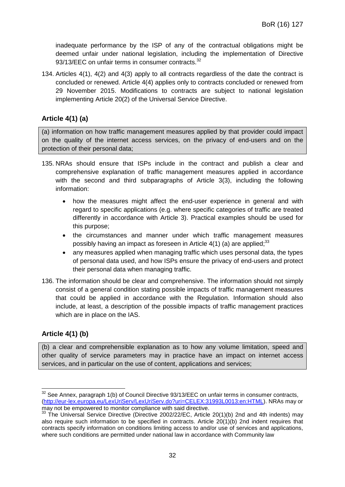inadequate performance by the ISP of any of the contractual obligations might be deemed unfair under national legislation, including the implementation of Directive 93/13/EEC on unfair terms in consumer contracts.<sup>32</sup>

134. Articles 4(1), 4(2) and 4(3) apply to all contracts regardless of the date the contract is concluded or renewed. Article 4(4) applies only to contracts concluded or renewed from 29 November 2015. Modifications to contracts are subject to national legislation implementing Article 20(2) of the Universal Service Directive.

## **Article 4(1) (a)**

(a) information on how traffic management measures applied by that provider could impact on the quality of the internet access services, on the privacy of end-users and on the protection of their personal data;

- 135. NRAs should ensure that ISPs include in the contract and publish a clear and comprehensive explanation of traffic management measures applied in accordance with the second and third subparagraphs of Article 3(3), including the following information:
	- how the measures might affect the end-user experience in general and with regard to specific applications (e.g. where specific categories of traffic are treated differently in accordance with Article 3). Practical examples should be used for this purpose;
	- the circumstances and manner under which traffic management measures possibly having an impact as foreseen in Article  $4(1)$  (a) are applied;<sup>33</sup>
	- any measures applied when managing traffic which uses personal data, the types of personal data used, and how ISPs ensure the privacy of end-users and protect their personal data when managing traffic.
- 136. The information should be clear and comprehensive. The information should not simply consist of a general condition stating possible impacts of traffic management measures that could be applied in accordance with the Regulation. Information should also include, at least, a description of the possible impacts of traffic management practices which are in place on the IAS.

## **Article 4(1) (b)**

(b) a clear and comprehensible explanation as to how any volume limitation, speed and other quality of service parameters may in practice have an impact on internet access services, and in particular on the use of content, applications and services;

<sup>&</sup>lt;sup>32</sup> See Annex, paragraph 1(b) of Council Directive 93/13/EEC on unfair terms in consumer contracts, (http://eur-lex.europa.eu/LexUriServ/LexUriServ.do?uri=CELEX:31993L0013:en:HTML). NRAs may or may not be empowered to monitor compliance with said directive.

 $33$  The Universal Service Directive (Directive 2002/22/EC, Article 20(1)(b) 2nd and 4th indents) may also require such information to be specified in contracts. Article 20(1)(b) 2nd indent requires that contracts specify information on conditions limiting access to and/or use of services and applications, where such conditions are permitted under national law in accordance with Community law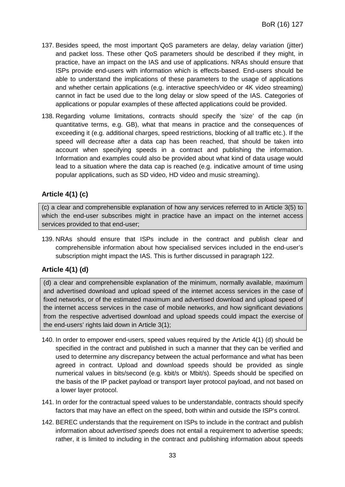- 137. Besides speed, the most important QoS parameters are delay, delay variation (jitter) and packet loss. These other QoS parameters should be described if they might, in practice, have an impact on the IAS and use of applications. NRAs should ensure that ISPs provide end-users with information which is effects-based. End-users should be able to understand the implications of these parameters to the usage of applications and whether certain applications (e.g. interactive speech/video or 4K video streaming) cannot in fact be used due to the long delay or slow speed of the IAS. Categories of applications or popular examples of these affected applications could be provided.
- 138. Regarding volume limitations, contracts should specify the 'size' of the cap (in quantitative terms, e.g. GB), what that means in practice and the consequences of exceeding it (e.g. additional charges, speed restrictions, blocking of all traffic etc.). If the speed will decrease after a data cap has been reached, that should be taken into account when specifying speeds in a contract and publishing the information. Information and examples could also be provided about what kind of data usage would lead to a situation where the data cap is reached (e.g. indicative amount of time using popular applications, such as SD video, HD video and music streaming).

## **Article 4(1) (c)**

(c) a clear and comprehensible explanation of how any services referred to in Article 3(5) to which the end-user subscribes might in practice have an impact on the internet access services provided to that end-user;

139. NRAs should ensure that ISPs include in the contract and publish clear and comprehensible information about how specialised services included in the end-user's subscription might impact the IAS. This is further discussed in paragraph 122.

## **Article 4(1) (d)**

(d) a clear and comprehensible explanation of the minimum, normally available, maximum and advertised download and upload speed of the internet access services in the case of fixed networks, or of the estimated maximum and advertised download and upload speed of the internet access services in the case of mobile networks, and how significant deviations from the respective advertised download and upload speeds could impact the exercise of the end-users' rights laid down in Article 3(1);

- 140. In order to empower end-users, speed values required by the Article 4(1) (d) should be specified in the contract and published in such a manner that they can be verified and used to determine any discrepancy between the actual performance and what has been agreed in contract. Upload and download speeds should be provided as single numerical values in bits/second (e.g. kbit/s or Mbit/s). Speeds should be specified on the basis of the IP packet payload or transport layer protocol payload, and not based on a lower layer protocol.
- 141. In order for the contractual speed values to be understandable, contracts should specify factors that may have an effect on the speed, both within and outside the ISP's control.
- 142. BEREC understands that the requirement on ISPs to include in the contract and publish information about *advertised speeds* does not entail a requirement to advertise speeds; rather, it is limited to including in the contract and publishing information about speeds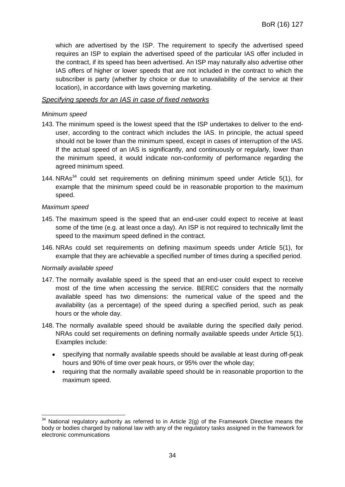which are advertised by the ISP. The requirement to specify the advertised speed requires an ISP to explain the advertised speed of the particular IAS offer included in the contract, if its speed has been advertised. An ISP may naturally also advertise other IAS offers of higher or lower speeds that are not included in the contract to which the subscriber is party (whether by choice or due to unavailability of the service at their location), in accordance with laws governing marketing.

#### *Specifying speeds for an IAS in case of fixed networks*

#### *Minimum speed*

- 143. The minimum speed is the lowest speed that the ISP undertakes to deliver to the enduser, according to the contract which includes the IAS. In principle, the actual speed should not be lower than the minimum speed, except in cases of interruption of the IAS. If the actual speed of an IAS is significantly, and continuously or regularly, lower than the minimum speed, it would indicate non-conformity of performance regarding the agreed minimum speed.
- 144. NRAs $34$  could set requirements on defining minimum speed under Article 5(1), for example that the minimum speed could be in reasonable proportion to the maximum speed.

#### *Maximum speed*

- 145. The maximum speed is the speed that an end-user could expect to receive at least some of the time (e.g. at least once a day). An ISP is not required to technically limit the speed to the maximum speed defined in the contract.
- 146. NRAs could set requirements on defining maximum speeds under Article 5(1), for example that they are achievable a specified number of times during a specified period.

#### *Normally available speed*

- 147. The normally available speed is the speed that an end-user could expect to receive most of the time when accessing the service. BEREC considers that the normally available speed has two dimensions: the numerical value of the speed and the availability (as a percentage) of the speed during a specified period, such as peak hours or the whole day.
- 148. The normally available speed should be available during the specified daily period. NRAs could set requirements on defining normally available speeds under Article 5(1). Examples include:
	- specifying that normally available speeds should be available at least during off-peak hours and 90% of time over peak hours, or 95% over the whole day;
	- requiring that the normally available speed should be in reasonable proportion to the maximum speed.

 $34$  National regulatory authority as referred to in Article 2(g) of the Framework Directive means the body or bodies charged by national law with any of the regulatory tasks assigned in the framework for electronic communications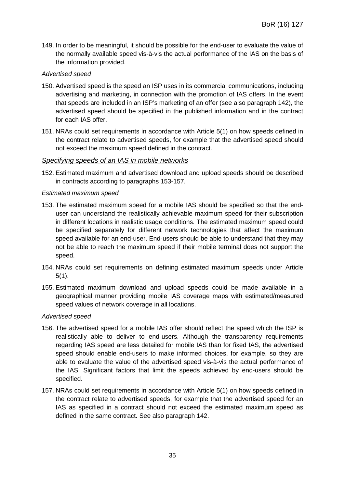149. In order to be meaningful, it should be possible for the end-user to evaluate the value of the normally available speed vis-à-vis the actual performance of the IAS on the basis of the information provided.

#### *Advertised speed*

- 150. Advertised speed is the speed an ISP uses in its commercial communications, including advertising and marketing, in connection with the promotion of IAS offers. In the event that speeds are included in an ISP's marketing of an offer (see also paragraph 142), the advertised speed should be specified in the published information and in the contract for each IAS offer.
- 151. NRAs could set requirements in accordance with Article 5(1) on how speeds defined in the contract relate to advertised speeds, for example that the advertised speed should not exceed the maximum speed defined in the contract.

#### *Specifying speeds of an IAS in mobile networks*

152. Estimated maximum and advertised download and upload speeds should be described in contracts according to paragraphs 153-157.

#### *Estimated maximum speed*

- 153. The estimated maximum speed for a mobile IAS should be specified so that the enduser can understand the realistically achievable maximum speed for their subscription in different locations in realistic usage conditions. The estimated maximum speed could be specified separately for different network technologies that affect the maximum speed available for an end-user. End-users should be able to understand that they may not be able to reach the maximum speed if their mobile terminal does not support the speed.
- 154. NRAs could set requirements on defining estimated maximum speeds under Article 5(1).
- 155. Estimated maximum download and upload speeds could be made available in a geographical manner providing mobile IAS coverage maps with estimated/measured speed values of network coverage in all locations.

#### *Advertised speed*

- 156. The advertised speed for a mobile IAS offer should reflect the speed which the ISP is realistically able to deliver to end-users. Although the transparency requirements regarding IAS speed are less detailed for mobile IAS than for fixed IAS, the advertised speed should enable end-users to make informed choices, for example, so they are able to evaluate the value of the advertised speed vis-à-vis the actual performance of the IAS. Significant factors that limit the speeds achieved by end-users should be specified.
- 157. NRAs could set requirements in accordance with Article 5(1) on how speeds defined in the contract relate to advertised speeds, for example that the advertised speed for an IAS as specified in a contract should not exceed the estimated maximum speed as defined in the same contract. See also paragraph 142.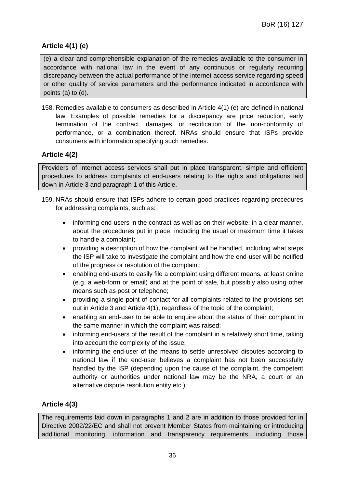## **Article 4(1) (e)**

(e) a clear and comprehensible explanation of the remedies available to the consumer in accordance with national law in the event of any continuous or regularly recurring discrepancy between the actual performance of the internet access service regarding speed or other quality of service parameters and the performance indicated in accordance with points (a) to (d).

158. Remedies available to consumers as described in Article 4(1) (e) are defined in national law. Examples of possible remedies for a discrepancy are price reduction, early termination of the contract, damages, or rectification of the non-conformity of performance, or a combination thereof. NRAs should ensure that ISPs provide consumers with information specifying such remedies.

## **Article 4(2)**

Providers of internet access services shall put in place transparent, simple and efficient procedures to address complaints of end-users relating to the rights and obligations laid down in Article 3 and paragraph 1 of this Article.

- 159. NRAs should ensure that ISPs adhere to certain good practices regarding procedures for addressing complaints, such as:
	- informing end-users in the contract as well as on their website, in a clear manner, about the procedures put in place, including the usual or maximum time it takes to handle a complaint;
	- providing a description of how the complaint will be handled, including what steps the ISP will take to investigate the complaint and how the end-user will be notified of the progress or resolution of the complaint;
	- enabling end-users to easily file a complaint using different means, at least online (e.g. a web-form or email) and at the point of sale, but possibly also using other means such as post or telephone;
	- providing a single point of contact for all complaints related to the provisions set out in Article 3 and Article 4(1), regardless of the topic of the complaint;
	- enabling an end-user to be able to enquire about the status of their complaint in the same manner in which the complaint was raised;
	- informing end-users of the result of the complaint in a relatively short time, taking into account the complexity of the issue;
	- informing the end-user of the means to settle unresolved disputes according to national law if the end-user believes a complaint has not been successfully handled by the ISP (depending upon the cause of the complaint, the competent authority or authorities under national law may be the NRA, a court or an alternative dispute resolution entity etc.).

## **Article 4(3)**

The requirements laid down in paragraphs 1 and 2 are in addition to those provided for in Directive 2002/22/EC and shall not prevent Member States from maintaining or introducing additional monitoring, information and transparency requirements, including those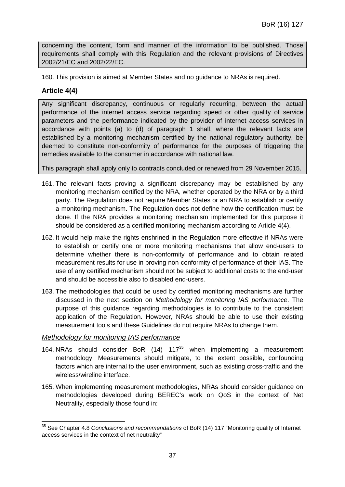concerning the content, form and manner of the information to be published. Those requirements shall comply with this Regulation and the relevant provisions of Directives 2002/21/EC and 2002/22/EC.

160. This provision is aimed at Member States and no guidance to NRAs is required.

## **Article 4(4)**

Any significant discrepancy, continuous or regularly recurring, between the actual performance of the internet access service regarding speed or other quality of service parameters and the performance indicated by the provider of internet access services in accordance with points (a) to (d) of paragraph 1 shall, where the relevant facts are established by a monitoring mechanism certified by the national regulatory authority, be deemed to constitute non-conformity of performance for the purposes of triggering the remedies available to the consumer in accordance with national law.

This paragraph shall apply only to contracts concluded or renewed from 29 November 2015.

- 161. The relevant facts proving a significant discrepancy may be established by any monitoring mechanism certified by the NRA, whether operated by the NRA or by a third party. The Regulation does not require Member States or an NRA to establish or certify a monitoring mechanism. The Regulation does not define how the certification must be done. If the NRA provides a monitoring mechanism implemented for this purpose it should be considered as a certified monitoring mechanism according to Article 4(4).
- 162. It would help make the rights enshrined in the Regulation more effective if NRAs were to establish or certify one or more monitoring mechanisms that allow end-users to determine whether there is non-conformity of performance and to obtain related measurement results for use in proving non-conformity of performance of their IAS. The use of any certified mechanism should not be subject to additional costs to the end-user and should be accessible also to disabled end-users.
- 163. The methodologies that could be used by certified monitoring mechanisms are further discussed in the next section on *Methodology for monitoring IAS performance*. The purpose of this guidance regarding methodologies is to contribute to the consistent application of the Regulation. However, NRAs should be able to use their existing measurement tools and these Guidelines do not require NRAs to change them.

#### *Methodology for monitoring IAS performance*

- 164. NRAs should consider BoR  $(14)$  117<sup>35</sup> when implementing a measurement methodology. Measurements should mitigate, to the extent possible, confounding factors which are internal to the user environment, such as existing cross-traffic and the wireless/wireline interface.
- 165. When implementing measurement methodologies, NRAs should consider guidance on methodologies developed during BEREC's work on QoS in the context of Net Neutrality, especially those found in:

<sup>35</sup> See Chapter 4.8 *Conclusions and recommendations* of BoR (14) 117 "Monitoring quality of Internet access services in the context of net neutrality"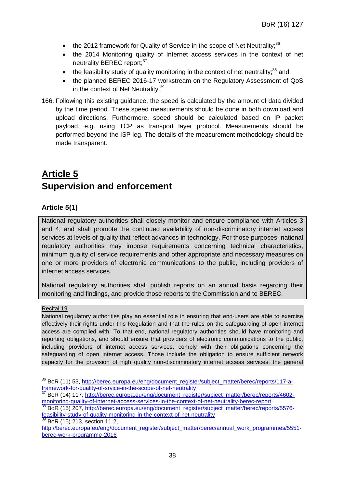- the 2012 framework for Quality of Service in the scope of Net Neutrality;<sup>36</sup>
- the 2014 Monitoring quality of Internet access services in the context of net neutrality BEREC report: 37
- the feasibility study of quality monitoring in the context of net neutrality; $38$  and
- the planned BEREC 2016-17 workstream on the Regulatory Assessment of QoS in the context of Net Neutrality.<sup>39</sup>
- 166. Following this existing guidance, the speed is calculated by the amount of data divided by the time period. These speed measurements should be done in both download and upload directions. Furthermore, speed should be calculated based on IP packet payload, e.g. using TCP as transport layer protocol. Measurements should be performed beyond the ISP leg. The details of the measurement methodology should be made transparent.

## **Article 5 Supervision and enforcement**

## **Article 5(1)**

National regulatory authorities shall closely monitor and ensure compliance with Articles 3 and 4, and shall promote the continued availability of non-discriminatory internet access services at levels of quality that reflect advances in technology. For those purposes, national regulatory authorities may impose requirements concerning technical characteristics, minimum quality of service requirements and other appropriate and necessary measures on one or more providers of electronic communications to the public, including providers of internet access services.

National regulatory authorities shall publish reports on an annual basis regarding their monitoring and findings, and provide those reports to the Commission and to BEREC.

## Recital 19

National regulatory authorities play an essential role in ensuring that end-users are able to exercise effectively their rights under this Regulation and that the rules on the safeguarding of open internet access are complied with. To that end, national regulatory authorities should have monitoring and reporting obligations, and should ensure that providers of electronic communications to the public, including providers of internet access services, comply with their obligations concerning the safeguarding of open internet access. Those include the obligation to ensure sufficient network capacity for the provision of high quality non-discriminatory internet access services, the general

 $39$  BoR (15) 213, section 11.2,

<sup>&</sup>lt;sup>36</sup> BoR (11) 53, http://berec.europa.eu/eng/document\_register/subject\_matter/berec/reports/117-aframework-for-quality-of-srvice-in-the-scope-of-net-neutrality<br>
<sup>37</sup> BeD (4.4) 447 Visit (1)

<sup>37</sup> BoR (14) 117, http://berec.europa.eu/eng/document\_register/subject\_matter/berec/reports/4602 monitoring-quality-of-internet-access-services-in-the-context-of-net-neutrality-berec-report

<sup>&</sup>lt;sup>38</sup> BoR (15) 207, http://berec.europa.eu/eng/document\_register/subject\_matter/berec/reports/5576feasibility-study-of-quality-monitoring-in-the-context-of-net-neutrality

http://berec.europa.eu/eng/document\_register/subject\_matter/berec/annual\_work\_programmes/5551berec-work-programme-2016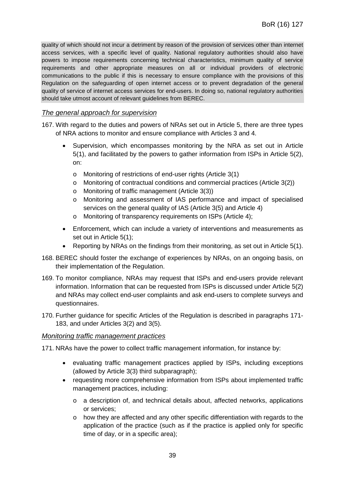quality of which should not incur a detriment by reason of the provision of services other than internet access services, with a specific level of quality. National regulatory authorities should also have powers to impose requirements concerning technical characteristics, minimum quality of service requirements and other appropriate measures on all or individual providers of electronic communications to the public if this is necessary to ensure compliance with the provisions of this Regulation on the safeguarding of open internet access or to prevent degradation of the general quality of service of internet access services for end-users. In doing so, national regulatory authorities should take utmost account of relevant guidelines from BEREC.

#### *The general approach for supervision*

- 167. With regard to the duties and powers of NRAs set out in Article 5, there are three types of NRA actions to monitor and ensure compliance with Articles 3 and 4.
	- Supervision, which encompasses monitoring by the NRA as set out in Article 5(1), and facilitated by the powers to gather information from ISPs in Article 5(2), on:
		- o Monitoring of restrictions of end-user rights (Article 3(1)
		- $\circ$  Monitoring of contractual conditions and commercial practices (Article 3(2))
		- o Monitoring of traffic management (Article 3(3))
		- o Monitoring and assessment of IAS performance and impact of specialised services on the general quality of IAS (Article 3(5) and Article 4)
		- o Monitoring of transparency requirements on ISPs (Article 4);
	- Enforcement, which can include a variety of interventions and measurements as set out in Article 5(1);
	- Reporting by NRAs on the findings from their monitoring, as set out in Article 5(1).
- 168. BEREC should foster the exchange of experiences by NRAs, on an ongoing basis, on their implementation of the Regulation.
- 169. To monitor compliance, NRAs may request that ISPs and end-users provide relevant information. Information that can be requested from ISPs is discussed under Article 5(2) and NRAs may collect end-user complaints and ask end-users to complete surveys and questionnaires.
- 170. Further guidance for specific Articles of the Regulation is described in paragraphs 171- 183, and under Articles 3(2) and 3(5).

#### *Monitoring traffic management practices*

171. NRAs have the power to collect traffic management information, for instance by:

- evaluating traffic management practices applied by ISPs, including exceptions (allowed by Article 3(3) third subparagraph);
- requesting more comprehensive information from ISPs about implemented traffic management practices, including:
	- o a description of, and technical details about, affected networks, applications or services;
	- o how they are affected and any other specific differentiation with regards to the application of the practice (such as if the practice is applied only for specific time of day, or in a specific area);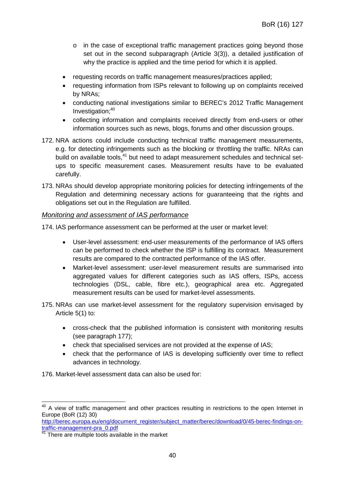- o in the case of exceptional traffic management practices going beyond those set out in the second subparagraph (Article 3(3)), a detailed justification of why the practice is applied and the time period for which it is applied.
- requesting records on traffic management measures/practices applied;
- requesting information from ISPs relevant to following up on complaints received by NRAs;
- conducting national investigations similar to BEREC's 2012 Traffic Management Investigation; $40$
- collecting information and complaints received directly from end-users or other information sources such as news, blogs, forums and other discussion groups.
- 172. NRA actions could include conducting technical traffic management measurements, e.g. for detecting infringements such as the blocking or throttling the traffic. NRAs can build on available tools.<sup>41</sup> but need to adapt measurement schedules and technical setups to specific measurement cases. Measurement results have to be evaluated carefully.
- 173. NRAs should develop appropriate monitoring policies for detecting infringements of the Regulation and determining necessary actions for guaranteeing that the rights and obligations set out in the Regulation are fulfilled.

#### *Monitoring and assessment of IAS performance*

174. IAS performance assessment can be performed at the user or market level:

- User-level assessment: end-user measurements of the performance of IAS offers can be performed to check whether the ISP is fulfilling its contract. Measurement results are compared to the contracted performance of the IAS offer.
- Market-level assessment: user-level measurement results are summarised into aggregated values for different categories such as IAS offers, ISPs, access technologies (DSL, cable, fibre etc.), geographical area etc. Aggregated measurement results can be used for market-level assessments.
- 175. NRAs can use market-level assessment for the regulatory supervision envisaged by Article 5(1) to:
	- cross-check that the published information is consistent with monitoring results (see paragraph 177);
	- check that specialised services are not provided at the expense of IAS;
	- check that the performance of IAS is developing sufficiently over time to reflect advances in technology.

176. Market-level assessment data can also be used for:

http://berec.europa.eu/eng/document\_register/subject\_matter/berec/download/0/45-berec-findings-ontraffic-management-pra\_0.pdf

<sup>&</sup>lt;sup>40</sup> A view of traffic management and other practices resulting in restrictions to the open Internet in Europe (BoR (12) 30)

There are multiple tools available in the market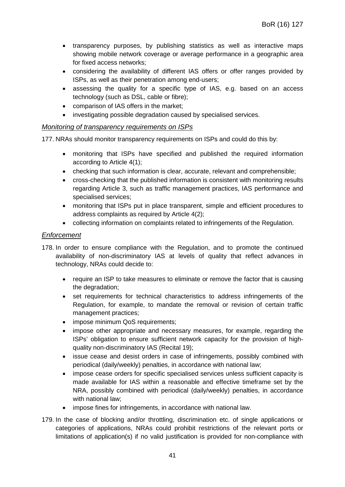- transparency purposes, by publishing statistics as well as interactive maps showing mobile network coverage or average performance in a geographic area for fixed access networks;
- considering the availability of different IAS offers or offer ranges provided by ISPs, as well as their penetration among end-users;
- assessing the quality for a specific type of IAS, e.g. based on an access technology (such as DSL, cable or fibre);
- comparison of IAS offers in the market;
- investigating possible degradation caused by specialised services.

#### *Monitoring of transparency requirements on ISPs*

177. NRAs should monitor transparency requirements on ISPs and could do this by:

- monitoring that ISPs have specified and published the required information according to Article 4(1);
- checking that such information is clear, accurate, relevant and comprehensible;
- cross-checking that the published information is consistent with monitoring results regarding Article 3, such as traffic management practices, IAS performance and specialised services;
- monitoring that ISPs put in place transparent, simple and efficient procedures to address complaints as required by Article 4(2);
- collecting information on complaints related to infringements of the Regulation.

#### *Enforcement*

- 178. In order to ensure compliance with the Regulation, and to promote the continued availability of non-discriminatory IAS at levels of quality that reflect advances in technology, NRAs could decide to:
	- require an ISP to take measures to eliminate or remove the factor that is causing the degradation;
	- set requirements for technical characteristics to address infringements of the Regulation, for example, to mandate the removal or revision of certain traffic management practices;
	- impose minimum QoS requirements:
	- impose other appropriate and necessary measures, for example, regarding the ISPs' obligation to ensure sufficient network capacity for the provision of highquality non-discriminatory IAS (Recital 19);
	- issue cease and desist orders in case of infringements, possibly combined with periodical (daily/weekly) penalties, in accordance with national law;
	- impose cease orders for specific specialised services unless sufficient capacity is made available for IAS within a reasonable and effective timeframe set by the NRA, possibly combined with periodical (daily/weekly) penalties, in accordance with national law;
	- impose fines for infringements, in accordance with national law.
- 179. In the case of blocking and/or throttling, discrimination etc. of single applications or categories of applications, NRAs could prohibit restrictions of the relevant ports or limitations of application(s) if no valid justification is provided for non-compliance with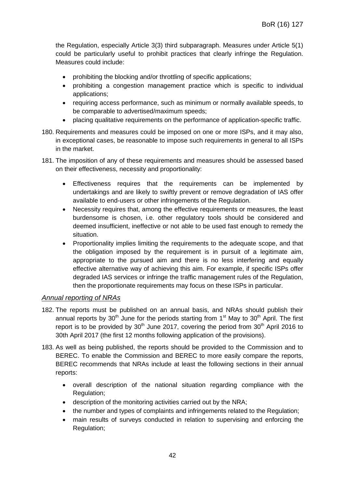the Regulation, especially Article 3(3) third subparagraph. Measures under Article 5(1) could be particularly useful to prohibit practices that clearly infringe the Regulation. Measures could include:

- prohibiting the blocking and/or throttling of specific applications;
- prohibiting a congestion management practice which is specific to individual applications;
- requiring access performance, such as minimum or normally available speeds, to be comparable to advertised/maximum speeds;
- placing qualitative requirements on the performance of application-specific traffic.
- 180. Requirements and measures could be imposed on one or more ISPs, and it may also, in exceptional cases, be reasonable to impose such requirements in general to all ISPs in the market.
- 181. The imposition of any of these requirements and measures should be assessed based on their effectiveness, necessity and proportionality:
	- Effectiveness requires that the requirements can be implemented by undertakings and are likely to swiftly prevent or remove degradation of IAS offer available to end-users or other infringements of the Regulation.
	- Necessity requires that, among the effective requirements or measures, the least burdensome is chosen, i.e. other regulatory tools should be considered and deemed insufficient, ineffective or not able to be used fast enough to remedy the situation.
	- Proportionality implies limiting the requirements to the adequate scope, and that the obligation imposed by the requirement is in pursuit of a legitimate aim, appropriate to the pursued aim and there is no less interfering and equally effective alternative way of achieving this aim. For example, if specific ISPs offer degraded IAS services or infringe the traffic management rules of the Regulation, then the proportionate requirements may focus on these ISPs in particular.

#### *Annual reporting of NRAs*

- 182. The reports must be published on an annual basis, and NRAs should publish their annual reports by  $30<sup>th</sup>$  June for the periods starting from 1<sup>st</sup> May to  $30<sup>th</sup>$  April. The first report is to be provided by  $30<sup>th</sup>$  June 2017, covering the period from  $30<sup>th</sup>$  April 2016 to 30th April 2017 (the first 12 months following application of the provisions).
- 183. As well as being published, the reports should be provided to the Commission and to BEREC. To enable the Commission and BEREC to more easily compare the reports, BEREC recommends that NRAs include at least the following sections in their annual reports:
	- overall description of the national situation regarding compliance with the Regulation;
	- description of the monitoring activities carried out by the NRA;
	- the number and types of complaints and infringements related to the Regulation;
	- main results of surveys conducted in relation to supervising and enforcing the Regulation;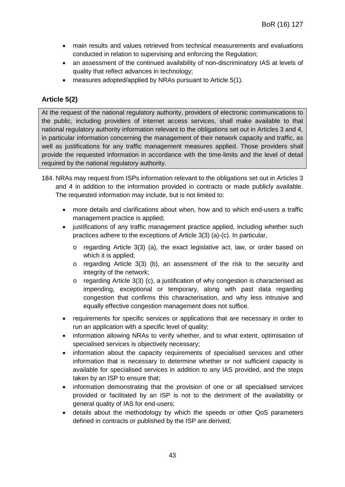- main results and values retrieved from technical measurements and evaluations conducted in relation to supervising and enforcing the Regulation;
- an assessment of the continued availability of non-discriminatory IAS at levels of quality that reflect advances in technology;
- measures adopted/applied by NRAs pursuant to Article 5(1).

## **Article 5(2)**

At the request of the national regulatory authority, providers of electronic communications to the public, including providers of internet access services, shall make available to that national regulatory authority information relevant to the obligations set out in Articles 3 and 4, in particular information concerning the management of their network capacity and traffic, as well as justifications for any traffic management measures applied. Those providers shall provide the requested information in accordance with the time-limits and the level of detail required by the national regulatory authority.

- 184. NRAs may request from ISPs information relevant to the obligations set out in Articles 3 and 4 in addition to the information provided in contracts or made publicly available. The requested information may include, but is not limited to:
	- more details and clarifications about when, how and to which end-users a traffic management practice is applied;
	- justifications of any traffic management practice applied, including whether such practices adhere to the exceptions of Article 3(3) (a)-(c). In particular,
		- o regarding Article 3(3) (a), the exact legislative act, law, or order based on which it is applied;
		- $\circ$  regarding Article 3(3) (b), an assessment of the risk to the security and integrity of the network;
		- o regarding Article 3(3) (c), a justification of why congestion is characterised as impending, exceptional or temporary, along with past data regarding congestion that confirms this characterisation, and why less intrusive and equally effective congestion management does not suffice.
	- requirements for specific services or applications that are necessary in order to run an application with a specific level of quality;
	- information allowing NRAs to verify whether, and to what extent, optimisation of specialised services is objectively necessary;
	- information about the capacity requirements of specialised services and other information that is necessary to determine whether or not sufficient capacity is available for specialised services in addition to any IAS provided, and the steps taken by an ISP to ensure that;
	- information demonstrating that the provision of one or all specialised services provided or facilitated by an ISP is not to the detriment of the availability or general quality of IAS for end-users;
	- details about the methodology by which the speeds or other QoS parameters defined in contracts or published by the ISP are derived;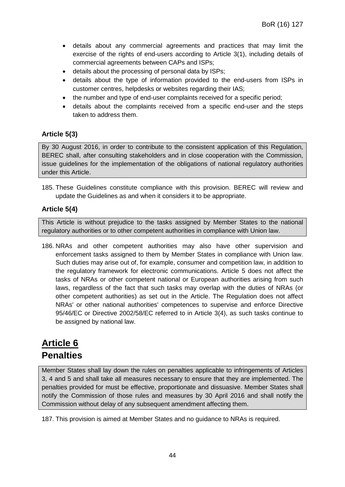- details about any commercial agreements and practices that may limit the exercise of the rights of end-users according to Article 3(1), including details of commercial agreements between CAPs and ISPs;
- details about the processing of personal data by ISPs;
- details about the type of information provided to the end-users from ISPs in customer centres, helpdesks or websites regarding their IAS;
- the number and type of end-user complaints received for a specific period;
- details about the complaints received from a specific end-user and the steps taken to address them.

## **Article 5(3)**

By 30 August 2016, in order to contribute to the consistent application of this Regulation, BEREC shall, after consulting stakeholders and in close cooperation with the Commission, issue guidelines for the implementation of the obligations of national regulatory authorities under this Article.

185. These Guidelines constitute compliance with this provision. BEREC will review and update the Guidelines as and when it considers it to be appropriate.

#### **Article 5(4)**

This Article is without prejudice to the tasks assigned by Member States to the national regulatory authorities or to other competent authorities in compliance with Union law.

186. NRAs and other competent authorities may also have other supervision and enforcement tasks assigned to them by Member States in compliance with Union law. Such duties may arise out of, for example, consumer and competition law, in addition to the regulatory framework for electronic communications. Article 5 does not affect the tasks of NRAs or other competent national or European authorities arising from such laws, regardless of the fact that such tasks may overlap with the duties of NRAs (or other competent authorities) as set out in the Article. The Regulation does not affect NRAs' or other national authorities' competences to supervise and enforce Directive 95/46/EC or Directive 2002/58/EC referred to in Article 3(4), as such tasks continue to be assigned by national law.

## **Article 6 Penalties**

Member States shall lay down the rules on penalties applicable to infringements of Articles 3, 4 and 5 and shall take all measures necessary to ensure that they are implemented. The penalties provided for must be effective, proportionate and dissuasive. Member States shall notify the Commission of those rules and measures by 30 April 2016 and shall notify the Commission without delay of any subsequent amendment affecting them.

187. This provision is aimed at Member States and no guidance to NRAs is required.